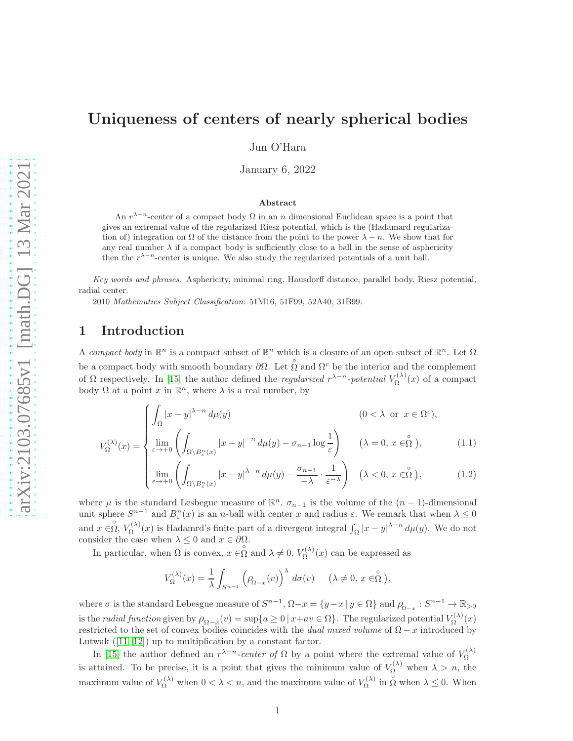# Uniqueness of centers of nearly spherical bodies

Jun O'Hara

January 6, 2022

#### Abstract

An  $r^{\lambda-n}$ -center of a compact body  $\Omega$  in an n dimensional Euclidean space is a point that gives an extremal value of the regularized Riesz potential, which is the (Hadamard regularization of) integration on  $\Omega$  of the distance from the point to the power  $\lambda - n$ . We show that for any real number  $\lambda$  if a compact body is sufficiently close to a ball in the sense of asphericity then the  $r^{\lambda-n}$ -center is unique. We also study the regularized potentials of a unit ball.

Key words and phrases. Asphericity, minimal ring, Hausdorff distance, parallel body, Riesz potential, radial center.

2010 Mathematics Subject Classification: 51M16, 51F99, 52A40, 31B99.

## 1 Introduction

<span id="page-0-0"></span> $V^{(\lambda)}_{\Omega}$ 

A compact body in  $\mathbb{R}^n$  is a compact subset of  $\mathbb{R}^n$  which is a closure of an open subset of  $\mathbb{R}^n$ . Let  $\Omega$ be a compact body with smooth boundary  $\partial\Omega$ . Let  $\hat{\Omega}$  and  $\Omega^c$  be the interior and the complement of  $\Omega$  respectively. In [\[15\]](#page-18-0) the author defined the *regularized*  $r^{\lambda-n}$ -potential  $V_{\Omega}^{(\lambda)}$  $\Omega^{(\lambda)}(x)$  of a compact body  $\Omega$  at a point x in  $\mathbb{R}^n$ , where  $\lambda$  is a real number, by

$$
\int_{\Omega} |x - y|^{2-n} d\mu(y) \qquad (0 < \lambda \text{ or } x \in \Omega^c),
$$
  

$$
\int_{\Omega} |x - y|^{2-n} d\mu(y) \qquad (0 < \lambda \text{ or } x \in \Omega^c),
$$
  

$$
\int_{\Omega} |x - y|^{2-n} d\mu(y) - \sigma_{n-1} \log \frac{1}{\varepsilon} \qquad (\lambda = 0, x \in \Omega^c),
$$
 (1.1)

$$
\varepsilon = \begin{cases}\n\varepsilon \to +0 \left( \int_{\Omega \setminus B_{\varepsilon}^n(x)} \left| x - y \right|^{ \lambda - n} d\mu(y) - \frac{\sigma_{n-1}}{-\lambda} \cdot \frac{1}{\varepsilon^{-\lambda}} \right) & (\lambda < 0, x \in \stackrel{\circ}{\Omega}), \\
\lim_{\varepsilon \to +0} \left( \int_{\Omega \setminus B_{\varepsilon}^n(x)} |x - y|^{ \lambda - n} d\mu(y) - \frac{\sigma_{n-1}}{-\lambda} \cdot \frac{1}{\varepsilon^{-\lambda}} \right) & (\lambda < 0, x \in \stackrel{\circ}{\Omega}),\n\end{cases} (1.2)
$$

where  $\mu$  is the standard Lesbegue measure of  $\mathbb{R}^n$ ,  $\sigma_{n-1}$  is the volume of the  $(n-1)$ -dimensional unit sphere  $S^{n-1}$  and  $B_{\varepsilon}^n(x)$  is an n-ball with center x and radius  $\varepsilon$ . We remark that when  $\lambda \leq 0$ and  $x \in \stackrel{\circ}{\Omega}, V_{\Omega}^{(\lambda)}$  $\int_{\Omega}^{(\lambda)}(x)$  is Hadamrd's finite part of a divergent integral  $\int_{\Omega} |x-y|^{\lambda-n} d\mu(y)$ . We do not consider the case when  $\lambda \leq 0$  and  $x \in \partial \Omega$ .

In particular, when  $\Omega$  is convex,  $x \in \stackrel{\circ}{\Omega}$  and  $\lambda \neq 0$ ,  $V_{\Omega}^{(\lambda)}$  $\Omega^{(\lambda)}(x)$  can be expressed as

$$
V_{\Omega}^{(\lambda)}(x) = \frac{1}{\lambda} \int_{S^{n-1}} \left( \rho_{\Omega-x}(v) \right)^{\lambda} d\sigma(v) \quad (\lambda \neq 0, x \in \stackrel{\circ}{\Omega}),
$$

where  $\sigma$  is the standard Lebesgue measure of  $S^{n-1}$ ,  $\Omega - x = \{y - x | y \in \Omega\}$  and  $\rho_{\Omega - x} : S^{n-1} \to \mathbb{R}_{>0}$ is the *radial function* given by  $\rho_{\Omega-x}(v) = \sup\{a \ge 0 \mid x + av \in \Omega\}$ . The regularized potential  $V_{\Omega}^{(\lambda)}$  $\Omega^{(\lambda)}(x)$ restricted to the set of convex bodies coincides with the *dual mixed volume* of  $\Omega - x$  introduced by Lutwak([\[11,](#page-18-1) [12\]](#page-18-2)) up to multiplication by a constant factor.

In [\[15\]](#page-18-0) the author defined an  $r^{\lambda-n}$ -center of  $\Omega$  by a point where the extremal value of  $V_{\Omega}^{(\lambda)}$ Ω is attained. To be precise, it is a point that gives the minimum value of  $V_{\Omega}^{(\lambda)}$  when  $\lambda > n$ , the maximum value of  $V_{\Omega}^{(\lambda)}$  when  $0 < \lambda < n$ , and the maximum value of  $V_{\Omega}^{(\lambda)}$  $\Omega_{\Omega}^{(\lambda)}$  in  $\Omega$  when  $\lambda \leq 0$ . When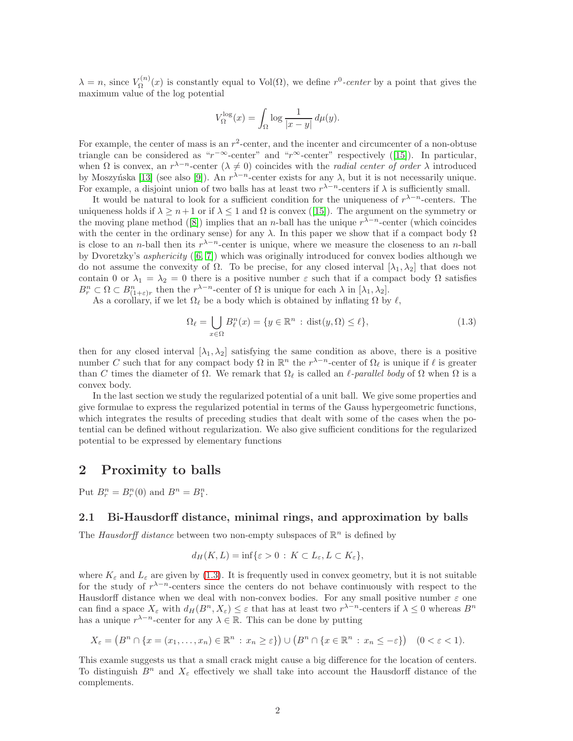$\lambda = n$ , since  $V_{\Omega}^{(n)}$  $\chi_{\Omega}^{(n)}(x)$  is constantly equal to Vol( $\Omega$ ), we define  $r^0$ -center by a point that gives the maximum value of the log potential

$$
V_\Omega^{\log}(x)=\int_\Omega \log \frac{1}{|x-y|} \, d\mu(y).
$$

For example, the center of mass is an  $r^2$ -center, and the incenter and circumcenter of a non-obtuse trianglecan be considered as " $r^{-\infty}$ -center" and " $r^{\infty}$ -center" respectively ([\[15\]](#page-18-0)). In particular, when  $\Omega$  is convex, an  $r^{\lambda-n}$ -center  $(\lambda \neq 0)$  coincides with the *radial center of order*  $\lambda$  introduced by Moszyńska [\[13\]](#page-18-3) (see also [\[9\]](#page-18-4)). An  $r^{\lambda-n}$ -center exists for any  $\lambda$ , but it is not necessarily unique. For example, a disjoint union of two balls has at least two  $r^{\lambda-n}$ -centers if  $\lambda$  is sufficiently small.

It would be natural to look for a sufficient condition for the uniqueness of  $r^{\lambda-n}$ -centers. The uniquenessholds if  $\lambda \geq n+1$  or if  $\lambda \leq 1$  and  $\Omega$  is convex ([\[15\]](#page-18-0)). The argument on the symmetry or themoving plane method ([\[8\]](#page-18-5)) implies that an *n*-ball has the unique  $r^{\lambda-n}$ -center (which coincides with the center in the ordinary sense) for any  $\lambda$ . In this paper we show that if a compact body  $\Omega$ is close to an *n*-ball then its  $r^{\lambda-n}$ -center is unique, where we measure the closeness to an *n*-ball by Dvoretzky's asphericity ([\[6,](#page-17-0) [7\]](#page-17-1)) which was originally introduced for convex bodies although we do not assume the convexity of Ω. To be precise, for any closed interval  $[λ<sub>1</sub>, λ<sub>2</sub>]$  that does not contain 0 or  $\lambda_1 = \lambda_2 = 0$  there is a positive number  $\varepsilon$  such that if a compact body  $\Omega$  satisfies  $B_r^n \subset \Omega \subset B_{(1+\varepsilon)r}^n$  then the  $r^{\lambda-n}$ -center of  $\Omega$  is unique for each  $\lambda$  in  $[\lambda_1, \lambda_2]$ .

As a corollary, if we let  $\Omega_{\ell}$  be a body which is obtained by inflating  $\Omega$  by  $\ell$ ,

<span id="page-1-0"></span>
$$
\Omega_{\ell} = \bigcup_{x \in \Omega} B_{\ell}^{n}(x) = \{ y \in \mathbb{R}^{n} : \text{dist}(y, \Omega) \le \ell \},\tag{1.3}
$$

then for any closed interval  $[\lambda_1, \lambda_2]$  satisfying the same condition as above, there is a positive number C such that for any compact body  $\Omega$  in  $\mathbb{R}^n$  the  $r^{\lambda-n}$ -center of  $\Omega_\ell$  is unique if  $\ell$  is greater than C times the diameter of  $\Omega$ . We remark that  $\Omega_{\ell}$  is called an  $\ell$ -parallel body of  $\Omega$  when  $\Omega$  is a convex body.

In the last section we study the regularized potential of a unit ball. We give some properties and give formulae to express the regularized potential in terms of the Gauss hypergeometric functions, which integrates the results of preceding studies that dealt with some of the cases when the potential can be defined without regularization. We also give sufficient conditions for the regularized potential to be expressed by elementary functions

## 2 Proximity to balls

Put  $B_r^n = B_r^n(0)$  and  $B^n = B_1^n$ .

#### 2.1 Bi-Hausdorff distance, minimal rings, and approximation by balls

The Hausdorff distance between two non-empty subspaces of  $\mathbb{R}^n$  is defined by

$$
d_H(K,L) = \inf \{ \varepsilon > 0 : K \subset L_{\varepsilon}, L \subset K_{\varepsilon} \},
$$

where  $K_{\varepsilon}$  and  $L_{\varepsilon}$  are given by [\(1.3\)](#page-1-0). It is frequently used in convex geometry, but it is not suitable for the study of  $r^{\lambda-n}$ -centers since the centers do not behave continuously with respect to the Hausdorff distance when we deal with non-convex bodies. For any small positive number  $\varepsilon$  one can find a space  $X_{\varepsilon}$  with  $d_H(B^n, X_{\varepsilon}) \leq \varepsilon$  that has at least two  $r^{\lambda-n}$ -centers if  $\lambda \leq 0$  whereas  $B^n$ has a unique  $r^{\lambda-n}$ -center for any  $\lambda \in \mathbb{R}$ . This can be done by putting

$$
X_{\varepsilon} = (B^n \cap \{x = (x_1, \dots, x_n) \in \mathbb{R}^n : x_n \ge \varepsilon\}) \cup (B^n \cap \{x \in \mathbb{R}^n : x_n \le -\varepsilon\}) \quad (0 < \varepsilon < 1).
$$

This examle suggests us that a small crack might cause a big difference for the location of centers. To distinguish  $B^n$  and  $X_\varepsilon$  effectively we shall take into account the Hausdorff distance of the complements.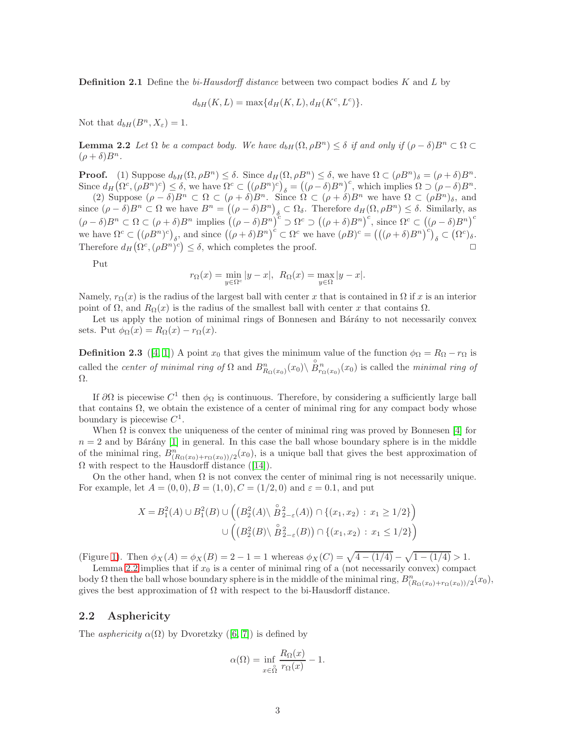**Definition 2.1** Define the bi-Hausdorff distance between two compact bodies  $K$  and  $L$  by

<span id="page-2-0"></span>
$$
d_{bH}(K, L) = \max\{d_H(K, L), d_H(K^c, L^c)\}.
$$

Not that  $d_{bH}(B^n, X_{\varepsilon}) = 1$ .

**Lemma 2.2** Let  $\Omega$  be a compact body. We have  $d_{b}(\Omega, \rho B^n) \leq \delta$  if and only if  $(\rho - \delta)B^n \subset \Omega$  $(\rho + \delta)B^n$ .

**Proof.** (1) Suppose  $d_{bH}(\Omega, \rho B^n) \leq \delta$ . Since  $d_H(\Omega, \rho B^n) \leq \delta$ , we have  $\Omega \subset (\rho B^n)_{\delta} = (\rho + \delta)B^n$ . Since  $d_H(\Omega^c,(\rho B^n)^c) \leq \delta$ , we have  $\overline{\Omega^c} \subset ((\rho B^n)^c)_{\delta} = ((\rho - \delta)B^n)^c$ , which implies  $\Omega \supset (\rho - \delta)B^n$ . (2) Suppose  $(\rho - \delta)B^n \subset \Omega \subset (\rho + \delta)B^n$ . Since  $\Omega \subset (\rho + \delta)B^n$  we have  $\Omega \subset (\rho B^n)_{\delta}$ , and since  $(\rho - \delta)B^n \subset \Omega$  we have  $B^n = ((\rho - \delta)B^n)_{\delta} \subset \Omega_{\delta}$ . Therefore  $d_H(\Omega, \rho B^n) \leq \delta$ . Similarly, as  $(\rho - \delta)B^n \subset \Omega \subset (\rho + \delta)B^n$  implies  $((\rho - \delta)B^n)^c \supset \Omega^c \supset ((\rho + \delta)B^n)^c$ , since  $\Omega^c \subset ((\rho - \delta)B^n)^c$ we have  $\Omega^c \subset ((\rho B^n)^c)_{\delta}$ , and since  $((\rho + \delta)B^n)^c \subset \Omega^c$  we have  $(\rho B)^c = (((\rho + \delta)B^n)^c)_{\delta} \subset (\Omega^c)_{\delta}$ .

Put

$$
r_{\Omega}(x) = \min_{y \in \Omega^c} |y - x|, \ R_{\Omega}(x) = \max_{y \in \Omega} |y - x|.
$$

Therefore  $d_H(\Omega^c, (\rho B^n)^c) \leq \delta$ , which completes the proof.

Namely,  $r_{\Omega}(x)$  is the radius of the largest ball with center x that is contained in  $\Omega$  if x is an interior point of  $\Omega$ , and  $R_{\Omega}(x)$  is the radius of the smallest ball with center x that contains  $\Omega$ .

Let us apply the notion of minimal rings of Bonnesen and Bárány to not necessarily convex sets. Put  $\phi_{\Omega}(x) = R_{\Omega}(x) - r_{\Omega}(x)$ .

**Definition 2.3** ([\[4,](#page-17-2) [1\]](#page-17-3)) A point  $x_0$  that gives the minimum value of the function  $\phi_{\Omega} = R_{\Omega} - r_{\Omega}$  is called the *center of minimal ring of*  $\Omega$  and  $B_{R_{\Omega}(x_0)}^n(x_0) \setminus \overset{\circ}{B}_{r_{\Omega}(x_0)}^n(x_0)$  is called the *minimal ring of* Ω.

If  $\partial\Omega$  is piecewise  $C^1$  then  $\phi_{\Omega}$  is continuous. Therefore, by considering a sufficiently large ball that contains  $\Omega$ , we obtain the existence of a center of minimal ring for any compact body whose boundary is piecewise  $C^1$ .

When  $\Omega$  is convex the uniqueness of the center of minimal ring was proved by Bonnesen [\[4\]](#page-17-2) for  $n = 2$  and by Bárány [\[1\]](#page-17-3) in general. In this case the ball whose boundary sphere is in the middle of the minimal ring,  $B_{(R_{\Omega}(x_0)+r_{\Omega}(x_0))/2}^n(x_0)$ , is a unique ball that gives the best approximation of  $\Omega$ with respect to the Hausdorff distance ([\[14\]](#page-18-6)).

On the other hand, when  $\Omega$  is not convex the center of minimal ring is not necessarily unique. For example, let  $A = (0, 0), B = (1, 0), C = (1/2, 0)$  and  $\varepsilon = 0.1$ , and put

$$
X = B_1^2(A) \cup B_1^2(B) \cup \left( \left( B_2^2(A) \setminus \overset{\circ}{B}_{2-\varepsilon}^2(A) \right) \cap \{(x_1, x_2) : x_1 \ge 1/2\} \right) \cup \left( \left( B_2^2(B) \setminus \overset{\circ}{B}_{2-\varepsilon}^2(B) \right) \cap \{(x_1, x_2) : x_1 \le 1/2\} \right)
$$

(Figure [1\)](#page-3-0). Then  $\phi_X(A) = \phi_X(B) = 2 - 1 = 1$  whereas  $\phi_X(C) = \sqrt{4 - (1/4)} - \sqrt{1 - (1/4)} > 1$ .

Lemma [2.2](#page-2-0) implies that if  $x_0$  is a center of minimal ring of a (not necessarily convex) compact body  $\Omega$  then the ball whose boundary sphere is in the middle of the minimal ring,  $B_{(R_{\Omega}(x_0)+r_{\Omega}(x_0))/2}^n(x_0)$ , gives the best approximation of  $\Omega$  with respect to the bi-Hausdorff distance.

### 2.2 Asphericity

Theasphericity  $\alpha(\Omega)$  by Dvoretzky ([\[6,](#page-17-0) [7\]](#page-17-1)) is defined by

$$
\alpha(\Omega) = \inf_{x \in \stackrel{\circ}{\Omega}} \frac{R_{\Omega}(x)}{r_{\Omega}(x)} - 1.
$$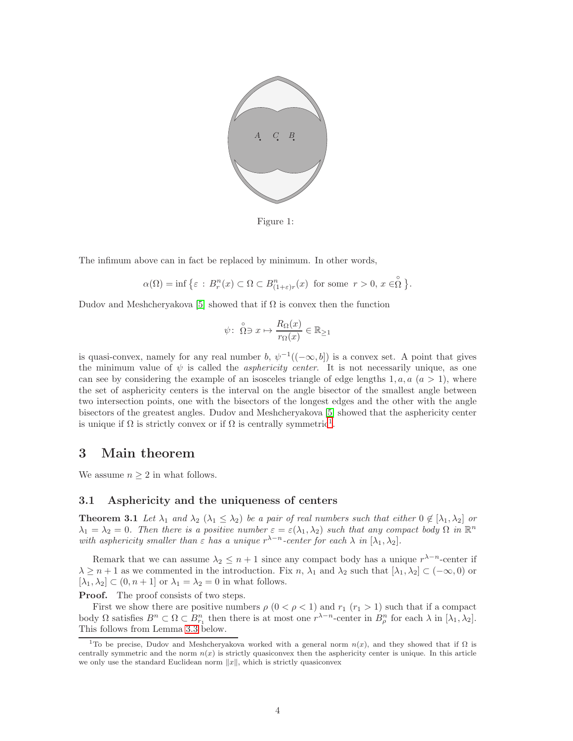

<span id="page-3-0"></span>Figure 1:

The infimum above can in fact be replaced by minimum. In other words,

$$
\alpha(\Omega) = \inf \big\{ \varepsilon \, : \, B^n_r(x) \subset \Omega \subset B^n_{(1+\varepsilon)r}(x) \, \text{ for some } \, r > 0, \, x \in \stackrel{\circ}{\Omega} \big\}.
$$

Dudov and Meshcheryakova [\[5\]](#page-17-4) showed that if  $\Omega$  is convex then the function

$$
\psi \colon \stackrel{\circ}{\Omega} \ni x \mapsto \frac{R_{\Omega}(x)}{r_{\Omega}(x)} \in \mathbb{R}_{\geq 1}
$$

is quasi-convex, namely for any real number b,  $\psi^{-1}((-\infty, b])$  is a convex set. A point that gives the minimum value of  $\psi$  is called the *asphericity center*. It is not necessarily unique, as one can see by considering the example of an isosceles triangle of edge lengths  $1, a, a \ (a > 1)$ , where the set of asphericity centers is the interval on the angle bisector of the smallest angle between two intersection points, one with the bisectors of the longest edges and the other with the angle bisectors of the greatest angles. Dudov and Meshcheryakova [\[5\]](#page-17-4) showed that the asphericity center is unique if  $\Omega$  is strictly convex or if  $\Omega$  is centrally symmetric<sup>[1](#page-3-1)</sup>.

## 3 Main theorem

We assume  $n \geq 2$  in what follows.

#### <span id="page-3-2"></span>3.1 Asphericity and the uniqueness of centers

**Theorem 3.1** Let  $\lambda_1$  and  $\lambda_2$  ( $\lambda_1 \leq \lambda_2$ ) be a pair of real numbers such that either  $0 \notin [\lambda_1, \lambda_2]$  or  $\lambda_1 = \lambda_2 = 0$ . Then there is a positive number  $\varepsilon = \varepsilon(\lambda_1, \lambda_2)$  such that any compact body  $\Omega$  in  $\mathbb{R}^n$ with asphericity smaller than  $\varepsilon$  has a unique  $r^{\lambda-n}$ -center for each  $\lambda$  in  $[\lambda_1, \lambda_2]$ .

Remark that we can assume  $\lambda_2 \leq n+1$  since any compact body has a unique  $r^{\lambda-n}$ -center if  $\lambda \geq n+1$  as we commented in the introduction. Fix n,  $\lambda_1$  and  $\lambda_2$  such that  $[\lambda_1, \lambda_2] \subset (-\infty, 0)$  or  $[\lambda_1, \lambda_2] \subset (0, n+1]$  or  $\lambda_1 = \lambda_2 = 0$  in what follows.

**Proof.** The proof consists of two steps.

First we show there are positive numbers  $\rho$   $(0 < \rho < 1)$  and  $r_1$   $(r_1 > 1)$  such that if a compact body  $\Omega$  satisfies  $B^n \subset \Omega \subset B_{r_1}^n$  then there is at most one  $r^{\lambda-n}$ -center in  $B_\rho^n$  for each  $\lambda$  in  $[\lambda_1, \lambda_2]$ . This follows from Lemma [3.3](#page-5-0) below.

<span id="page-3-1"></span><sup>&</sup>lt;sup>1</sup>To be precise, Dudov and Meshcheryakova worked with a general norm  $n(x)$ , and they showed that if  $\Omega$  is centrally symmetric and the norm  $n(x)$  is strictly quasiconvex then the asphericity center is unique. In this article we only use the standard Euclidean norm  $||x||$ , which is strictly quasiconvex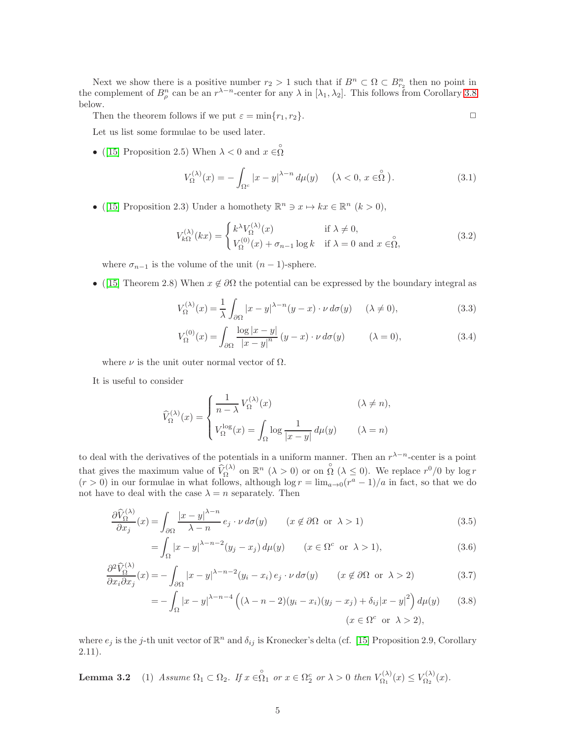Next we show there is a positive number  $r_2 > 1$  such that if  $B^n \subset \Omega \subset B^n_{r_2}$  then no point in the complement of  $B_{\rho}^n$  can be an  $r^{\lambda-n}$ -center for any  $\lambda$  in  $[\lambda_1, \lambda_2]$ . This follows from Corollary [3.8](#page-8-0) below.

Then the theorem follows if we put  $\varepsilon = \min\{r_1, r_2\}.$ 

Let us list some formulae to be used later.

• ([\[15\]](#page-18-0) Proposition 2.5) When  $\lambda < 0$  and  $x \in \stackrel{\circ}{\Omega}$ 

$$
V_{\Omega}^{(\lambda)}(x) = -\int_{\Omega^c} |x - y|^{\lambda - n} d\mu(y) \quad (\lambda < 0, x \in \stackrel{\circ}{\Omega}). \tag{3.1}
$$

• ([\[15\]](#page-18-0) Proposition 2.3) Under a homothety  $\mathbb{R}^n \ni x \mapsto kx \in \mathbb{R}^n$   $(k > 0)$ ,

<span id="page-4-2"></span>
$$
V_{k\Omega}^{(\lambda)}(kx) = \begin{cases} k^{\lambda} V_{\Omega}^{(\lambda)}(x) & \text{if } \lambda \neq 0, \\ V_{\Omega}^{(0)}(x) + \sigma_{n-1} \log k & \text{if } \lambda = 0 \text{ and } x \in \stackrel{\circ}{\Omega}, \end{cases}
$$
(3.2)

where  $\sigma_{n-1}$  is the volume of the unit  $(n-1)$ -sphere.

• ([\[15\]](#page-18-0) Theorem 2.8) When  $x \notin \partial \Omega$  the potential can be expressed by the boundary integral as

<span id="page-4-3"></span>
$$
V_{\Omega}^{(\lambda)}(x) = \frac{1}{\lambda} \int_{\partial \Omega} |x - y|^{\lambda - n} (y - x) \cdot \nu \, d\sigma(y) \quad (\lambda \neq 0), \tag{3.3}
$$

$$
V_{\Omega}^{(0)}(x) = \int_{\partial\Omega} \frac{\log|x-y|}{|x-y|^n} (y-x) \cdot \nu \, d\sigma(y) \qquad (\lambda = 0), \tag{3.4}
$$

where  $\nu$  is the unit outer normal vector of  $\Omega$ .

It is useful to consider

$$
\widehat{V}_{\Omega}^{(\lambda)}(x) = \begin{cases}\n\frac{1}{n-\lambda} V_{\Omega}^{(\lambda)}(x) & (\lambda \neq n), \\
V_{\Omega}^{\log}(x) = \int_{\Omega} \log \frac{1}{|x-y|} d\mu(y) & (\lambda = n)\n\end{cases}
$$

to deal with the derivatives of the potentials in a uniform manner. Then an  $r^{\lambda-n}$ -center is a point that gives the maximum value of  $\widehat{V}_{\Omega}^{(\lambda)}$  on  $\mathbb{R}^n$  ( $\lambda > 0$ ) or on  $\stackrel{\circ}{\Omega}$  ( $\lambda \leq 0$ ). We replace  $r^0/0$  by log r  $(r > 0)$  in our formulae in what follows, although  $\log r = \lim_{a \to 0} (r^a - 1)/a$  in fact, so that we do not have to deal with the case  $\lambda = n$  separately. Then

<span id="page-4-0"></span>
$$
\frac{\partial \widehat{V}_{\Omega}^{(\lambda)}}{\partial x_j}(x) = \int_{\partial \Omega} \frac{|x - y|^{\lambda - n}}{\lambda - n} e_j \cdot \nu \, d\sigma(y) \qquad (x \notin \partial \Omega \text{ or } \lambda > 1)
$$
\n(3.5)

$$
= \int_{\Omega} |x - y|^{\lambda - n - 2} (y_j - x_j) d\mu(y) \qquad (x \in \Omega^c \text{ or } \lambda > 1), \tag{3.6}
$$

$$
\frac{\partial^2 \widehat{V}_{\Omega}^{(\lambda)}}{\partial x_i \partial x_j}(x) = -\int_{\partial \Omega} |x - y|^{\lambda - n - 2} (y_i - x_i) e_j \cdot \nu \, d\sigma(y) \qquad (x \notin \partial \Omega \text{ or } \lambda > 2)
$$
\n(3.7)

$$
= -\int_{\Omega} |x-y|^{\lambda - n - 4} \left( (\lambda - n - 2)(y_i - x_i)(y_j - x_j) + \delta_{ij} |x - y|^2 \right) d\mu(y) \qquad (3.8)
$$

$$
(x \in \Omega^c \text{ or } \lambda > 2),
$$

<span id="page-4-1"></span>where  $e_j$  is the j-th unit vector of  $\mathbb{R}^n$  and  $\delta_{ij}$  is Kronecker's delta (cf. [\[15\]](#page-18-0) Proposition 2.9, Corollary 2.11).

**Lemma 3.2** (1) Assume  $\Omega_1 \subset \Omega_2$ . If  $x \in \stackrel{\circ}{\Omega_1}$  or  $x \in \Omega_2^c$  or  $\lambda > 0$  then  $V_{\Omega_1}^{(\lambda)}$  $V_{\Omega_1}^{(\lambda)}(x) \leq V_{\Omega_2}^{(\lambda)}$  $\Omega_2^{(\lambda)}(x)$ .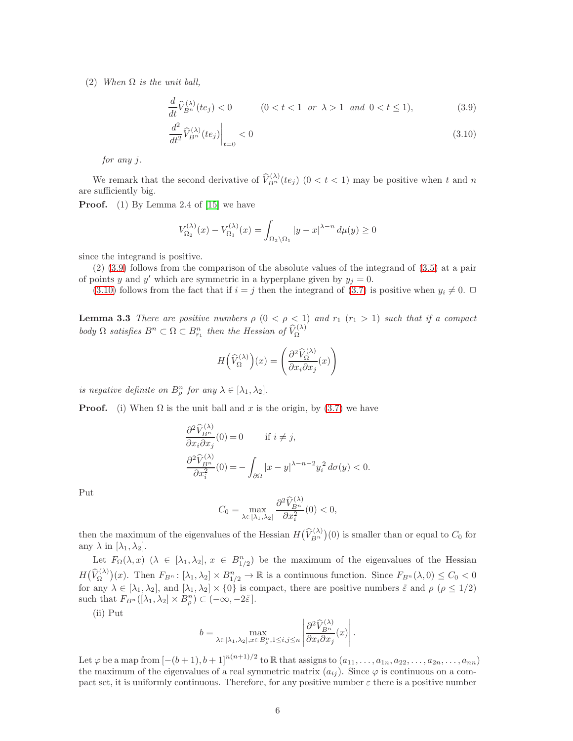(2) When  $\Omega$  is the unit ball,

<span id="page-5-1"></span>
$$
\frac{d}{dt}\widehat{V}_{B^n}^{(\lambda)}(te_j) < 0 \qquad (0 < t < 1 \text{ or } \lambda > 1 \text{ and } 0 < t \le 1), \tag{3.9}
$$

$$
\left. \frac{d^2}{dt^2} \widehat{V}_{B^n}^{(\lambda)}(te_j) \right|_{t=0} < 0 \tag{3.10}
$$

for any j.

We remark that the second derivative of  $\widehat{V}_{B^n}^{(\lambda)}(te_j)$   $(0 < t < 1)$  may be positive when t and n are sufficiently big.

Proof. (1) By Lemma 2.4 of [\[15\]](#page-18-0) we have

$$
V_{\Omega_2}^{(\lambda)}(x) - V_{\Omega_1}^{(\lambda)}(x) = \int_{\Omega_2 \setminus \Omega_1} |y - x|^{\lambda - n} d\mu(y) \ge 0
$$

since the integrand is positive.

(2) [\(3.9\)](#page-5-1) follows from the comparison of the absolute values of the integrand of [\(3.5\)](#page-4-0) at a pair of points y and y' which are symmetric in a hyperplane given by  $y_j = 0$ .

<span id="page-5-0"></span>[\(3.10\)](#page-5-1) follows from the fact that if  $i = j$  then the integrand of [\(3.7\)](#page-4-0) is positive when  $y_i \neq 0$ .

**Lemma 3.3** There are positive numbers  $\rho$   $(0 < \rho < 1)$  and  $r_1$   $(r_1 > 1)$  such that if a compact body  $\Omega$  satisfies  $B^n \subset \Omega \subset B^n_{r_1}$  then the Hessian of  $\widehat{V}_{\Omega}^{(\lambda)}$ 

$$
H\left(\widehat{V}_{\Omega}^{(\lambda)}\right)(x) = \left(\frac{\partial^2 \widehat{V}_{\Omega}^{(\lambda)}}{\partial x_i \partial x_j}(x)\right)
$$

is negative definite on  $B_{\rho}^{n}$  for any  $\lambda \in [\lambda_1, \lambda_2]$ .

**Proof.** (i) When  $\Omega$  is the unit ball and x is the origin, by [\(3.7\)](#page-4-0) we have

$$
\frac{\partial^2 \widehat{V}_{B^n}^{(\lambda)}}{\partial x_i \partial x_j}(0) = 0 \quad \text{if } i \neq j,
$$
  

$$
\frac{\partial^2 \widehat{V}_{B^n}^{(\lambda)}}{\partial x_i^2}(0) = -\int_{\partial \Omega} |x - y|^{\lambda - n - 2} y_i^2 d\sigma(y) < 0.
$$

Put

$$
C_0 = \max_{\lambda \in [\lambda_1, \lambda_2]} \frac{\partial^2 \widehat{V}_{B^n}^{(\lambda)}}{\partial x_i^2}(0) < 0,
$$

then the maximum of the eigenvalues of the Hessian  $H(\hat{V}_{B^n}^{(\lambda)})(0)$  is smaller than or equal to  $C_0$  for any  $\lambda$  in  $[\lambda_1, \lambda_2]$ .

Let  $F_{\Omega}(\lambda, x)$   $(\lambda \in [\lambda_1, \lambda_2], x \in B_{1/2}^n)$  be the maximum of the eigenvalues of the Hessian  $H(\widehat{V}_{\Omega}^{(\lambda)})(x)$ . Then  $F_{B^n}: [\lambda_1, \lambda_2] \times B_{1/2}^n \to \mathbb{R}$  is a continuous function. Since  $F_{B^n}(\lambda, 0) \leq C_0 < 0$ for any  $\lambda \in [\lambda_1, \lambda_2]$ , and  $[\lambda_1, \lambda_2] \times \{0\}$  is compact, there are positive numbers  $\tilde{\varepsilon}$  and  $\rho$  ( $\rho \leq 1/2$ ) such that  $F_{B<sup>n</sup>}([\lambda_1, \lambda_2] \times B_{\rho}^n) \subset (-\infty, -2\tilde{\varepsilon}).$ 

(ii) Put

$$
b = \max_{\lambda \in [\lambda_1, \lambda_2], x \in B_{\rho}^n, 1 \le i, j \le n} \left| \frac{\partial^2 \widehat{V}_{B^n}^{(\lambda)}}{\partial x_i \partial x_j}(x) \right|.
$$

Let  $\varphi$  be a map from  $[-(b+1), b+1]^{n(n+1)/2}$  to R that assigns to  $(a_{11}, \ldots, a_{1n}, a_{22}, \ldots, a_{2n}, \ldots, a_{nn})$ the maximum of the eigenvalues of a real symmetric matrix  $(a_{ij})$ . Since  $\varphi$  is continuous on a compact set, it is uniformly continuous. Therefore, for any positive number  $\varepsilon$  there is a positive number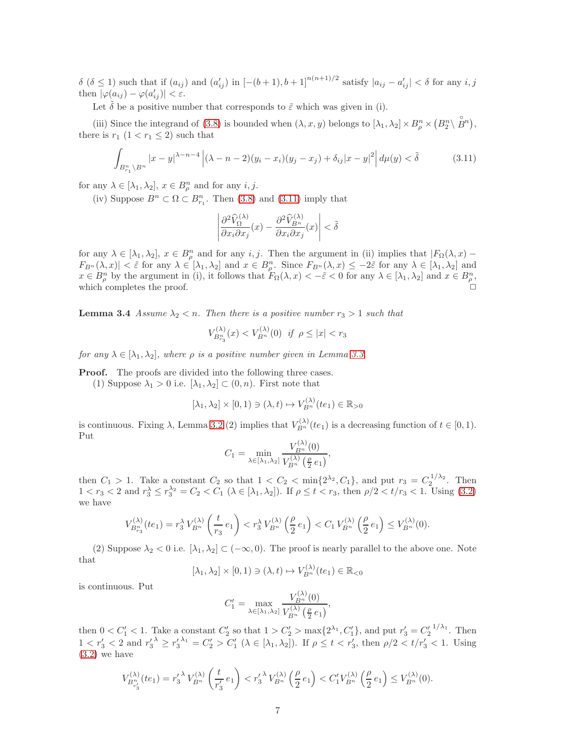$\delta$  ( $\delta \leq 1$ ) such that if  $(a_{ij})$  and  $(a'_{ij})$  in  $[-(b+1), b+1]^{n(n+1)/2}$  satisfy  $|a_{ij} - a'_{ij}| < \delta$  for any  $i, j$ then  $|\varphi(a_{ij}) - \varphi(a_{ij}')| < \varepsilon$ .

Let  $\delta$  be a positive number that corresponds to  $\tilde{\varepsilon}$  which was given in (i).

(iii) Since the integrand of [\(3.8\)](#page-4-0) is bounded when  $(\lambda, x, y)$  belongs to  $[\lambda_1, \lambda_2] \times B_\rho^n \times (B_2^n \setminus \mathbb{R}^n)$  $B^{n}$ ), there is  $r_1$   $(1 < r_1 \leq 2)$  such that

<span id="page-6-0"></span>
$$
\int_{B_{r_1}^n \backslash B^n} |x - y|^{\lambda - n - 4} |(\lambda - n - 2)(y_i - x_i)(y_j - x_j) + \delta_{ij}|x - y|^2 |d\mu(y) < \tilde{\delta}
$$
\n(3.11)

for any  $\lambda \in [\lambda_1, \lambda_2]$ ,  $x \in B_{\rho}^n$  and for any  $i, j$ .

(iv) Suppose  $B^n \subset \Omega \subset B_{r_1}^n$ . Then [\(3.8\)](#page-4-0) and [\(3.11\)](#page-6-0) imply that

$$
\left| \frac{\partial^2 \widehat{V}_{\Omega}^{(\lambda)}}{\partial x_i \partial x_j}(x) - \frac{\partial^2 \widehat{V}_{B^n}^{(\lambda)}}{\partial x_i \partial x_j}(x) \right| < \tilde{\delta}
$$

for any  $\lambda \in [\lambda_1, \lambda_2], x \in B_{\rho}^n$  and for any  $i, j$ . Then the argument in (ii) implies that  $|F_{\Omega}(\lambda, x) |F_{B^n}(\lambda, x)| < \tilde{\varepsilon}$  for any  $\lambda \in [\lambda_1, \lambda_2]$  and  $x \in B^n_{\rho}$ . Since  $F_{B^n}(\lambda, x) \le -2\tilde{\varepsilon}$  for any  $\lambda \in [\lambda_1, \lambda_2]$  and  $x \in B_{\rho}^n$  by the argument in (i), it follows that  $F_{\Omega}(\lambda, x) < -\tilde{\varepsilon} < 0$  for any  $\lambda \in [\lambda_1, \lambda_2]$  and  $x \in B_{\rho}^n$ , which completes the proof.  $\Box$ 

**Lemma 3.4** Assume  $\lambda_2 < n$ . Then there is a positive number  $r_3 > 1$  such that

$$
V_{B_{r_3}^n}^{(\lambda)}(x) < V_{B_n}^{(\lambda)}(0) \quad \text{if } \rho \le |x| < r_3
$$

for any  $\lambda \in [\lambda_1, \lambda_2]$ , where  $\rho$  is a positive number given in Lemma [3.3.](#page-5-0)

**Proof.** The proofs are divided into the following three cases.

(1) Suppose  $\lambda_1 > 0$  i.e.  $[\lambda_1, \lambda_2] \subset (0, n)$ . First note that

$$
[\lambda_1, \lambda_2] \times [0, 1) \ni (\lambda, t) \mapsto V_{B^n}^{(\lambda)}(te_1) \in \mathbb{R}_{>0}
$$

is continuous. Fixing  $\lambda$ , Lemma [3.2](#page-4-1) (2) implies that  $V_{B_n}^{(\lambda)}(te_1)$  is a decreasing function of  $t \in [0,1)$ . Put

$$
C_1 = \min_{\lambda \in [\lambda_1, \lambda_2]} \frac{V_{B^n}^{(\lambda)}(0)}{V_{B^n}^{(\lambda)}(\frac{\rho}{2}e_1)},
$$

then  $C_1 > 1$ . Take a constant  $C_2$  so that  $1 < C_2 < \min\{2^{\lambda_2}, C_1\}$ , and put  $r_3 = C_2^{1/\lambda_2}$ . Then  $1 < r_3 < 2$  and  $r_3 \le r_3^{\lambda_2} = C_2 < C_1$  ( $\lambda \in [\lambda_1, \lambda_2]$ ). If  $\rho \le t < r_3$ , then  $\rho/2 < t/r_3 < 1$ . Using [\(3.2\)](#page-4-2) we have

$$
V_{B_{r_3}^n}^{(\lambda)}(te_1) = r_3^{\lambda} V_{B^n}^{(\lambda)}\left(\frac{t}{r_3}e_1\right) < r_3^{\lambda} V_{B^n}^{(\lambda)}\left(\frac{\rho}{2}e_1\right) < C_1 V_{B^n}^{(\lambda)}\left(\frac{\rho}{2}e_1\right) \leq V_{B^n}^{(\lambda)}(0).
$$

(2) Suppose  $\lambda_2 < 0$  i.e.  $[\lambda_1, \lambda_2] \subset (-\infty, 0)$ . The proof is nearly parallel to the above one. Note that

$$
[\lambda_1, \lambda_2] \times [0, 1) \ni (\lambda, t) \mapsto V_{B^n}^{(\lambda)}(te_1) \in \mathbb{R}_{< 0}
$$

is continuous. Put

$$
C_1'=\max_{\lambda\in[\lambda_1,\lambda_2]}\frac{V_{B^n}^{(\lambda)}(0)}{V_{B^n}^{(\lambda)}\left(\frac{\rho}{2}\,e_1\right)},
$$

then  $0 < C_1' < 1$ . Take a constant  $C_2'$  so that  $1 > C_2' > \max\{2^{\lambda_1}, C_1'\}$ , and put  $r_3' = C_2'^{1/\lambda_1}$ . Then  $1 < r'_3 < 2$  and  $r'_3$   $\ge r'_3$   $\lambda_1 = C'_2 > C'_1$  ( $\lambda \in [\lambda_1, \lambda_2]$ ). If  $\rho \le t < r'_3$ , then  $\rho/2 < t/r'_3 < 1$ . Using [\(3.2\)](#page-4-2) we have

$$
V_{B_{r'_3}^n}^{(\lambda)}(te_1) = r'_3{}^{\lambda} V_{B^n}^{(\lambda)}\left(\frac{t}{r'_3}e_1\right) < r'_3{}^{\lambda} V_{B^n}^{(\lambda)}\left(\frac{\rho}{2}e_1\right) < C'_1 V_{B^n}^{(\lambda)}\left(\frac{\rho}{2}e_1\right) \leq V_{B^n}^{(\lambda)}(0).
$$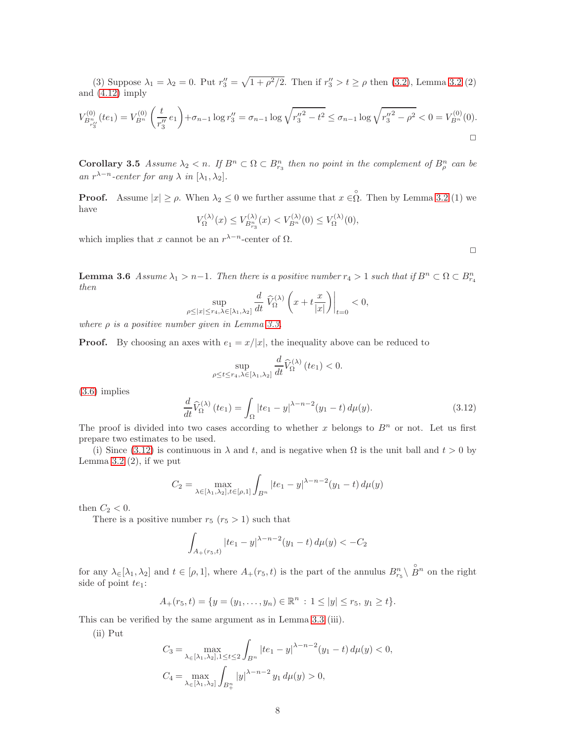(3) Suppose  $\lambda_1 = \lambda_2 = 0$ . Put  $r''_3 = \sqrt{1 + \rho^2/2}$ . Then if  $r''_3 > t \ge \rho$  then [\(3.2\)](#page-4-2), Lemma [3.2](#page-4-1) (2) and [\(4.12\)](#page-12-0) imply

$$
V_{B_{r'_3}^n}^{(0)}(te_1) = V_{B^n}^{(0)}\left(\frac{t}{r''_3}e_1\right) + \sigma_{n-1}\log r''_3 = \sigma_{n-1}\log\sqrt{{r''_3}^2 - t^2} \le \sigma_{n-1}\log\sqrt{{r''_3}^2 - \rho^2} < 0 = V_{B^n}^{(0)}(0).
$$

<span id="page-7-1"></span>**Corollary 3.5** Assume  $\lambda_2 < n$ . If  $B^n \subset \Omega \subset B_{r_3}^n$  then no point in the complement of  $B_{\rho}^n$  can be an  $r^{\lambda-n}$ -center for any  $\lambda$  in  $[\lambda_1, \lambda_2]$ .

**Proof.** Assume  $|x| \ge \rho$ . When  $\lambda_2 \le 0$  we further assume that  $x \in \overset{\circ}{\Omega}$ . Then by Lemma [3.2](#page-4-1) (1) we have

$$
V_{\Omega}^{(\lambda)}(x) \le V_{B_{r_3}^n}^{(\lambda)}(x) < V_{B_n}^{(\lambda)}(0) \le V_{\Omega}^{(\lambda)}(0),
$$

which implies that x cannot be an  $r^{\lambda-n}$ -center of  $\Omega$ .

 $\Box$ 

**Lemma 3.6** Assume  $\lambda_1 > n-1$ . Then there is a positive number  $r_4 > 1$  such that if  $B^n \subset \Omega \subset B^n_{r_4}$ then  $\overline{a}$  $\sim$ 

$$
\sup_{\rho \le |x| \le r_4, \lambda \in [\lambda_1, \lambda_2]} \frac{d}{dt} \left. \widehat{V}_{\Omega}^{(\lambda)} \left( x + t \frac{x}{|x|} \right) \right|_{t=0} < 0,
$$

where  $\rho$  is a positive number given in Lemma [3.3.](#page-5-0)

**Proof.** By choosing an axes with  $e_1 = x/|x|$ , the inequality above can be reduced to

$$
\sup_{\rho \leq t \leq r_4, \lambda \in [\lambda_1, \lambda_2]} \frac{d}{dt} \widehat{V}_{\Omega}^{(\lambda)}(te_1) < 0.
$$

[\(3.6\)](#page-4-0) implies

<span id="page-7-0"></span>
$$
\frac{d}{dt}\widehat{V}_{\Omega}^{(\lambda)}(te_1) = \int_{\Omega} |te_1 - y|^{\lambda - n - 2}(y_1 - t) d\mu(y).
$$
 (3.12)

The proof is divided into two cases according to whether x belongs to  $B<sup>n</sup>$  or not. Let us first prepare two estimates to be used.

(i) Since [\(3.12\)](#page-7-0) is continuous in  $\lambda$  and t, and is negative when  $\Omega$  is the unit ball and  $t > 0$  by Lemma  $3.2$  (2), if we put

$$
C_2 = \max_{\lambda \in [\lambda_1, \lambda_2], t \in [\rho, 1]} \int_{B^n} |te_1 - y|^{\lambda - n - 2} (y_1 - t) d\mu(y)
$$

then  $C_2 < 0$ .

There is a positive number  $r_5$   $(r_5 > 1)$  such that

$$
\int_{A_{+}(r_{5},t)}|te_{1}-y|^{\lambda-n-2}(y_{1}-t)\,d\mu(y)<-C_{2}
$$

for any  $\lambda \in [\lambda_1, \lambda_2]$  and  $t \in [\rho, 1]$ , where  $A_+(r_5, t)$  is the part of the annulus  $B_{r_5}^n \setminus$  $\overset{\circ}{B}{}^{n}$  on the right side of point  $te_1$ :

$$
A_+(r_5,t) = \{y = (y_1,\ldots,y_n) \in \mathbb{R}^n : 1 \le |y| \le r_5, y_1 \ge t\}.
$$

This can be verified by the same argument as in Lemma [3.3](#page-5-0) (iii).

(ii) Put

$$
C_3 = \max_{\lambda \in [\lambda_1, \lambda_2], 1 \le t \le 2} \int_{B^n} |te_1 - y|^{\lambda - n - 2} (y_1 - t) d\mu(y) < 0,
$$
  

$$
C_4 = \max_{\lambda \in [\lambda_1, \lambda_2]} \int_{B^n_+} |y|^{\lambda - n - 2} y_1 d\mu(y) > 0,
$$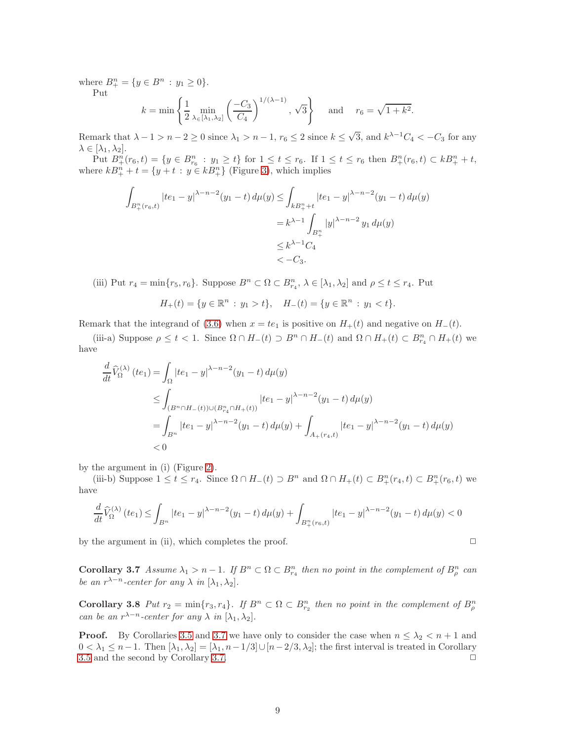where  $B_+^n = \{y \in B^n : y_1 \ge 0\}.$ 

Put

$$
k = \min \left\{ \frac{1}{2} \min_{\lambda \in [\lambda_1, \lambda_2]} \left( \frac{-C_3}{C_4} \right)^{1/(\lambda - 1)}, \sqrt{3} \right\}
$$
 and  $r_6 = \sqrt{1 + k^2}$ .

Remark that  $\lambda - 1 > n - 2 \ge 0$  since  $\lambda_1 > n - 1$ ,  $r_6 \le 2$  since  $k \le \sqrt{3}$ , and  $k^{\lambda - 1}C_4 < -C_3$  for any  $\lambda \in [\lambda_1, \lambda_2].$ 

Put  $B_{+}^{n}(r_{6}, t) = \{y \in B_{r_{6}}^{n} : y_{1} \geq t\}$  for  $1 \leq t \leq r_{6}$ . If  $1 \leq t \leq r_{6}$  then  $B_{+}^{n}(r_{6}, t) \subset kB_{+}^{n} + t$ , where  $kB_{+}^{n} + t = \{y + t : y \in kB_{+}^{n}\}\$  (Figure [3\)](#page-9-0), which implies

$$
\int_{B_+^n(r_6,t)} |te_1 - y|^{\lambda - n - 2} (y_1 - t) d\mu(y) \le \int_{kB_+^n + t} |te_1 - y|^{\lambda - n - 2} (y_1 - t) d\mu(y)
$$
  
=  $k^{\lambda - 1} \int_{B_+^n} |y|^{\lambda - n - 2} y_1 d\mu(y)$   
 $\le k^{\lambda - 1} C_4$   
 $< -C_3.$ 

(iii) Put  $r_4 = \min\{r_5, r_6\}$ . Suppose  $B^n \subset \Omega \subset B^n_{r_4}$ ,  $\lambda \in [\lambda_1, \lambda_2]$  and  $\rho \le t \le r_4$ . Put

$$
H_+(t) = \{ y \in \mathbb{R}^n : y_1 > t \}, \quad H_-(t) = \{ y \in \mathbb{R}^n : y_1 < t \}.
$$

Remark that the integrand of [\(3.6\)](#page-4-0) when  $x = te_1$  is positive on  $H_+(t)$  and negative on  $H_-(t)$ .

(iii-a) Suppose  $\rho \le t < 1$ . Since  $\Omega \cap H_-(t) \supset B^n \cap H_-(t)$  and  $\Omega \cap H_+(t) \subset B^n_{r_4} \cap H_+(t)$  we have

$$
\frac{d}{dt}\widehat{V}_{\Omega}^{(\lambda)}(te_1) = \int_{\Omega} |te_1 - y|^{\lambda - n - 2}(y_1 - t) d\mu(y) \n\leq \int_{(B^n \cap H_-(t)) \cup (B^n_{r_4} \cap H_+(t))} |te_1 - y|^{\lambda - n - 2}(y_1 - t) d\mu(y) \n= \int_{B^n} |te_1 - y|^{\lambda - n - 2}(y_1 - t) d\mu(y) + \int_{A_+(r_4,t)} |te_1 - y|^{\lambda - n - 2}(y_1 - t) d\mu(y) \n< 0
$$

by the argument in (i) (Figure [2\)](#page-9-1).

(iii-b) Suppose  $1 \le t \le r_4$ . Since  $\Omega \cap H_-(t) \supset B^n$  and  $\Omega \cap H_+(t) \subset B^n_+(r_4, t) \subset B^n_+(r_6, t)$  we have

$$
\frac{d}{dt}\widehat{V}_{\Omega}^{(\lambda)}(te_1) \le \int_{B^n} |te_1 - y|^{\lambda - n - 2} (y_1 - t) d\mu(y) + \int_{B^n_+(r_6, t)} |te_1 - y|^{\lambda - n - 2} (y_1 - t) d\mu(y) < 0
$$

<span id="page-8-1"></span>by the argument in (ii), which completes the proof.  $\Box$ 

**Corollary 3.7** Assume  $\lambda_1 > n-1$ . If  $B^n \subset \Omega \subset B_{r_4}^n$  then no point in the complement of  $B_p^n$  can be an  $r^{\lambda-n}$ -center for any  $\lambda$  in  $[\lambda_1, \lambda_2]$ .

<span id="page-8-0"></span>Corollary 3.8 Put  $r_2 = \min\{r_3, r_4\}$ . If  $B^n \subset \Omega \subset B_{r_2}^n$  then no point in the complement of  $B_{\rho}^n$ can be an  $r^{\lambda-n}$ -center for any  $\lambda$  in  $[\lambda_1, \lambda_2]$ .

**Proof.** By Corollaries [3.5](#page-7-1) and [3.7](#page-8-1) we have only to consider the case when  $n \leq \lambda_2 < n + 1$  and  $0 < \lambda_1 \leq n-1$ . Then  $[\lambda_1, \lambda_2] = [\lambda_1, n-1/3] \cup [n-2/3, \lambda_2]$ ; the first interval is treated in Corollary 3.5 and the second by Corollary 3.7. [3.5](#page-7-1) and the second by Corollary [3.7.](#page-8-1)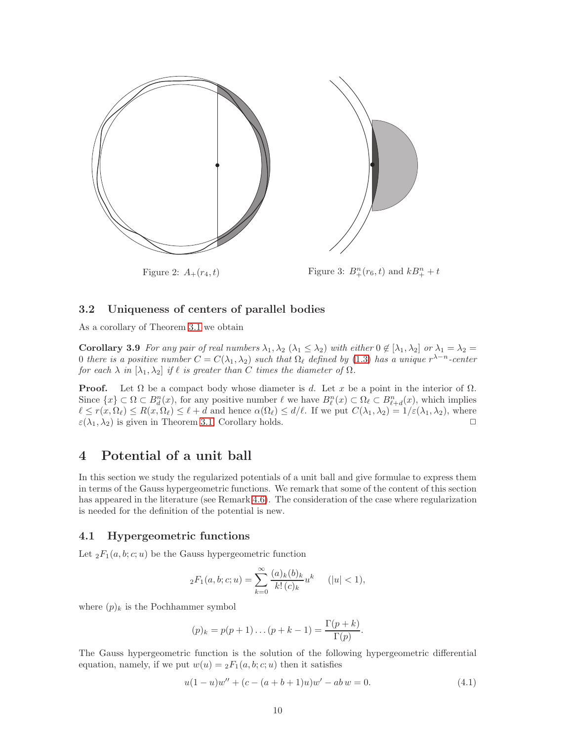

<span id="page-9-1"></span>Figure 2:  $A_+(r_4, t)$ 

<span id="page-9-0"></span> $_{+}^{n}(r_{6}, t)$  and  $kB_{+}^{n} + t$ 

## 3.2 Uniqueness of centers of parallel bodies

As a corollary of Theorem [3.1](#page-3-2) we obtain

Corollary 3.9 For any pair of real numbers  $\lambda_1, \lambda_2 \ (\lambda_1 \leq \lambda_2)$  with either  $0 \notin [\lambda_1, \lambda_2]$  or  $\lambda_1 = \lambda_2 =$ 0 there is a positive number  $C = C(\lambda_1, \lambda_2)$  such that  $\Omega_\ell$  defined by [\(1.3\)](#page-1-0) has a unique  $r^{\lambda-n}$ -center for each  $\lambda$  in  $[\lambda_1, \lambda_2]$  if  $\ell$  is greater than C times the diameter of  $\Omega$ .

**Proof.** Let  $\Omega$  be a compact body whose diameter is d. Let x be a point in the interior of  $\Omega$ . Since  $\{x\} \subset \Omega \subset B_d^n(x)$ , for any positive number  $\ell$  we have  $B_{\ell}^n(x) \subset \Omega_{\ell} \subset B_{\ell+d}^n(x)$ , which implies  $\ell \leq r(x, \Omega_{\ell}) \leq R(x, \Omega_{\ell}) \leq \ell + d$  and hence  $\alpha(\Omega_{\ell}) \leq d/\ell$ . If we put  $C(\lambda_1, \lambda_2) = 1/\varepsilon(\lambda_1, \lambda_2)$ , where  $\varepsilon(\lambda_1, \lambda_2)$  is given in Theorem 3.1. Corollary holds.  $\varepsilon(\lambda_1, \lambda_2)$  is given in Theorem [3.1,](#page-3-2) Corollary holds.

## 4 Potential of a unit ball

In this section we study the regularized potentials of a unit ball and give formulae to express them in terms of the Gauss hypergeometric functions. We remark that some of the content of this section has appeared in the literature (see Remark [4.6\)](#page-13-0). The consideration of the case where regularization is needed for the definition of the potential is new.

#### 4.1 Hypergeometric functions

Let  ${}_2F_1(a, b; c; u)$  be the Gauss hypergeometric function

$$
{}_2F_1(a,b;c;u) = \sum_{k=0}^{\infty} \frac{(a)_k (b)_k}{k! (c)_k} u^k \qquad (|u| < 1),
$$

where  $(p)_k$  is the Pochhammer symbol

$$
(p)_k = p(p+1)...(p+k-1) = \frac{\Gamma(p+k)}{\Gamma(p)}
$$
.

The Gauss hypergeometric function is the solution of the following hypergeometric differential equation, namely, if we put  $w(u) = {}_2F_1(a, b; c; u)$  then it satisfies

<span id="page-9-2"></span>
$$
u(1-u)w'' + (c - (a+b+1)u)w' - ab w = 0.
$$
\n(4.1)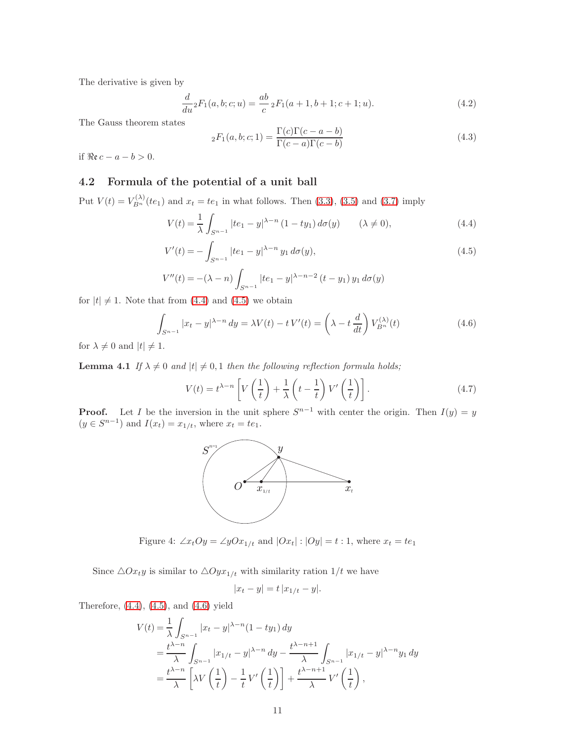The derivative is given by

<span id="page-10-3"></span>
$$
\frac{d}{du} {}_2F_1(a, b; c; u) = \frac{ab}{c} {}_2F_1(a+1, b+1; c+1; u).
$$
\n(4.2)

The Gauss theorem states

<span id="page-10-4"></span>
$$
{}_2F_1(a,b;c;1) = \frac{\Gamma(c)\Gamma(c-a-b)}{\Gamma(c-a)\Gamma(c-b)}
$$
\n(4.3)

if  $Re c - a - b > 0$ .

## 4.2 Formula of the potential of a unit ball

Put  $V(t) = V_{B_n}^{(\lambda)}(te_1)$  and  $x_t = te_1$  in what follows. Then [\(3.3\)](#page-4-3), [\(3.5\)](#page-4-0) and [\(3.7\)](#page-4-0) imply

<span id="page-10-0"></span>
$$
V(t) = \frac{1}{\lambda} \int_{S^{n-1}} |te_1 - y|^{\lambda - n} (1 - ty_1) d\sigma(y) \qquad (\lambda \neq 0), \tag{4.4}
$$

$$
V'(t) = -\int_{S^{n-1}} |te_1 - y|^{\lambda - n} y_1 d\sigma(y), \tag{4.5}
$$

$$
V''(t) = -(\lambda - n) \int_{S^{n-1}} |te_1 - y|^{\lambda - n - 2} (t - y_1) y_1 d\sigma(y)
$$

for  $|t| \neq 1$ . Note that from [\(4.4\)](#page-10-0) and [\(4.5\)](#page-10-0) we obtain

<span id="page-10-1"></span>
$$
\int_{S^{n-1}} |x_t - y|^{\lambda - n} dy = \lambda V(t) - t V'(t) = \left(\lambda - t \frac{d}{dt}\right) V_{B^n}^{(\lambda)}(t)
$$
\n(4.6)

<span id="page-10-5"></span>for  $\lambda \neq 0$  and  $|t| \neq 1$ .

**Lemma 4.1** If  $\lambda \neq 0$  and  $|t| \neq 0, 1$  then the following reflection formula holds;

<span id="page-10-2"></span>
$$
V(t) = t^{\lambda - n} \left[ V\left(\frac{1}{t}\right) + \frac{1}{\lambda} \left(t - \frac{1}{t}\right) V'\left(\frac{1}{t}\right) \right].
$$
\n(4.7)

**Proof.** Let I be the inversion in the unit sphere  $S^{n-1}$  with center the origin. Then  $I(y) = y$  $(y \in S^{n-1})$  and  $I(x_t) = x_{1/t}$ , where  $x_t = te_1$ .



Figure 4:  $\angle x_tOy = \angle yOx_{1/t}$  and  $|Ox_t| : |Oy| = t : 1$ , where  $x_t = te_1$ 

Since  $\triangle Ox_t$ *y* is similar to  $\triangle Oyx_{1/t}$  with similarity ration  $1/t$  we have

$$
|x_t - y| = t |x_{1/t} - y|.
$$

Therefore, [\(4.4\)](#page-10-0), [\(4.5\)](#page-10-0), and [\(4.6\)](#page-10-1) yield

$$
V(t) = \frac{1}{\lambda} \int_{S^{n-1}} |x_t - y|^{\lambda - n} (1 - ty_1) dy
$$
  
= 
$$
\frac{t^{\lambda - n}}{\lambda} \int_{S^{n-1}} |x_{1/t} - y|^{\lambda - n} dy - \frac{t^{\lambda - n + 1}}{\lambda} \int_{S^{n-1}} |x_{1/t} - y|^{\lambda - n} y_1 dy
$$
  
= 
$$
\frac{t^{\lambda - n}}{\lambda} \left[ \lambda V\left(\frac{1}{t}\right) - \frac{1}{t} V'\left(\frac{1}{t}\right) \right] + \frac{t^{\lambda - n + 1}}{\lambda} V'\left(\frac{1}{t}\right),
$$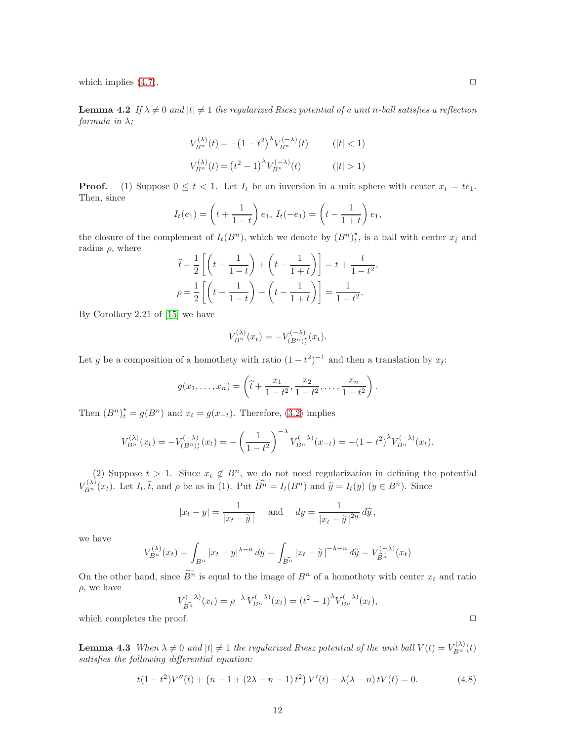<span id="page-11-1"></span>which implies  $(4.7)$ .  $\Box$ 

**Lemma 4.2** If  $\lambda \neq 0$  and  $|t| \neq 1$  the regularized Riesz potential of a unit n-ball satisfies a reflection formula in  $\lambda$ ;

$$
V_{B^n}^{(\lambda)}(t) = -(1 - t^2)^{\lambda} V_{B^n}^{(-\lambda)}(t) \qquad (|t| < 1)
$$
  

$$
V_{B^n}^{(\lambda)}(t) = (t^2 - 1)^{\lambda} V_{B^n}^{(-\lambda)}(t) \qquad (|t| > 1)
$$

**Proof.** (1) Suppose  $0 \le t < 1$ . Let  $I_t$  be an inversion in a unit sphere with center  $x_t = te_1$ . Then, since

$$
I_t(e_1) = \left(t + \frac{1}{1-t}\right)e_1, I_t(-e_1) = \left(t - \frac{1}{1+t}\right)e_1,
$$

the closure of the complement of  $I_t(B^n)$ , which we denote by  $(B^n)^*_{t}$ , is a ball with center  $x_{\hat{t}}$  and radius  $\rho$ , where

$$
\hat{t} = \frac{1}{2} \left[ \left( t + \frac{1}{1-t} \right) + \left( t - \frac{1}{1+t} \right) \right] = t + \frac{t}{1-t^2}
$$

$$
\rho = \frac{1}{2} \left[ \left( t + \frac{1}{1-t} \right) - \left( t - \frac{1}{1+t} \right) \right] = \frac{1}{1-t^2}.
$$

,

By Corollary 2.21 of [\[15\]](#page-18-0) we have

$$
V_{B^n}^{(\lambda)}(x_t) = -V_{(B^n)_t^*}^{(-\lambda)}(x_t).
$$

Let g be a composition of a homothety with ratio  $(1-t^2)^{-1}$  and then a translation by  $x_i$ :

$$
g(x_1,...,x_n) = \left(\hat{t} + \frac{x_1}{1-t^2}, \frac{x_2}{1-t^2}, \dots, \frac{x_n}{1-t^2}\right).
$$

Then  $(B^n)_t^* = g(B^n)$  and  $x_t = g(x_{-t})$ . Therefore, [\(3.2\)](#page-4-2) implies

$$
V_{B^n}^{(\lambda)}(x_t) = -V_{(B^n)_t}^{(-\lambda)}(x_t) = -\left(\frac{1}{1-t^2}\right)^{-\lambda} V_{B^n}^{(-\lambda)}(x_{-t}) = -(1-t^2)^{\lambda} V_{B^n}^{(-\lambda)}(x_t).
$$

(2) Suppose  $t > 1$ . Since  $x_t \notin B^n$ , we do not need regularization in defining the potential  $V_{B^n}^{(\lambda)}(x_t)$ . Let  $I_t, \hat{t}$ , and  $\rho$  be as in (1). Put  $\widetilde{B^n} = I_t(B^n)$  and  $\widetilde{y} = I_t(y)$   $(y \in B^n)$ . Since

$$
|x_t - y| = \frac{1}{|x_t - \widetilde{y}|}
$$
 and  $dy = \frac{1}{|x_t - \widetilde{y}|^{2n}} d\widetilde{y},$ 

we have

$$
V_{B^n}^{(\lambda)}(x_t) = \int_{B^n} |x_t - y|^{ \lambda - n} dy = \int_{\widetilde{B^n}} |x_t - \widetilde{y}|^{-\lambda - n} d\widetilde{y} = V_{\widetilde{B^n}}^{(-\lambda)}(x_t)
$$

On the other hand, since  $\widetilde{B^n}$  is equal to the image of  $B^n$  of a homothety with center  $x_t$  and ratio  $\rho$ , we have

$$
V_{\widetilde{B^n}}^{(-\lambda)}(x_t) = \rho^{-\lambda} V_{B^n}^{(-\lambda)}(x_t) = (t^2 - 1)^{\lambda} V_{B^n}^{(-\lambda)}(x_t),
$$

which completes the proof.  $\Box$ 

**Lemma 4.3** When  $\lambda \neq 0$  and  $|t| \neq 1$  the regularized Riesz potential of the unit ball  $V(t) = V_{B_n}^{(\lambda)}(t)$ satisfies the following differential equation:

<span id="page-11-0"></span>
$$
t(1-t^2)V''(t) + (n-1+(2\lambda-n-1)t^2)V'(t) - \lambda(\lambda-n)tV(t) = 0.
$$
 (4.8)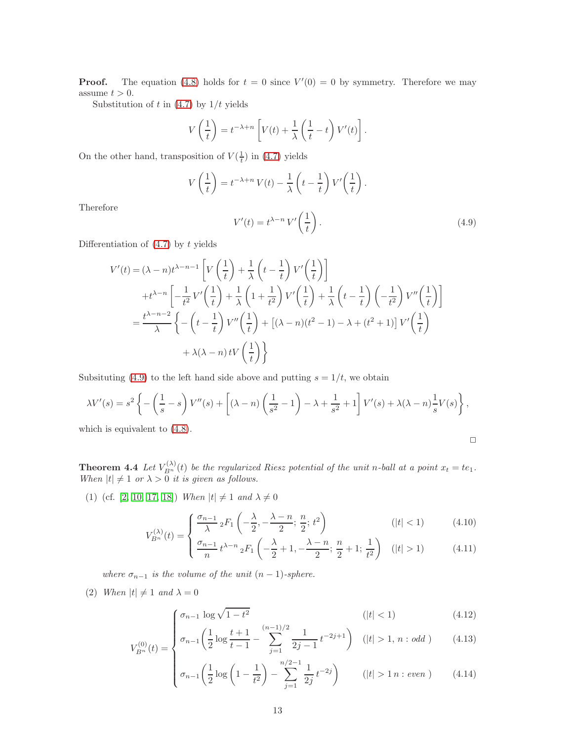**Proof.** The equation [\(4.8\)](#page-11-0) holds for  $t = 0$  since  $V'(0) = 0$  by symmetry. Therefore we may assume  $t > 0$ .

Substitution of t in  $(4.7)$  by  $1/t$  yields

$$
V\left(\frac{1}{t}\right) = t^{-\lambda+n} \left[ V(t) + \frac{1}{\lambda} \left(\frac{1}{t} - t\right) V'(t) \right].
$$

On the other hand, transposition of  $V(\frac{1}{t})$  in [\(4.7\)](#page-10-2) yields

$$
V\left(\frac{1}{t}\right) = t^{-\lambda+n} V(t) - \frac{1}{\lambda} \left(t - \frac{1}{t}\right) V'\left(\frac{1}{t}\right).
$$

Therefore

<span id="page-12-1"></span>
$$
V'(t) = t^{\lambda - n} V' \left(\frac{1}{t}\right). \tag{4.9}
$$

Differentiation of  $(4.7)$  by t yields

$$
V'(t) = (\lambda - n)t^{\lambda - n - 1} \left[ V\left(\frac{1}{t}\right) + \frac{1}{\lambda} \left(t - \frac{1}{t}\right) V'\left(\frac{1}{t}\right) \right]
$$
  
+  $t^{\lambda - n} \left[ -\frac{1}{t^2} V'\left(\frac{1}{t}\right) + \frac{1}{\lambda} \left(1 + \frac{1}{t^2}\right) V'\left(\frac{1}{t}\right) + \frac{1}{\lambda} \left(t - \frac{1}{t}\right) \left(-\frac{1}{t^2}\right) V''\left(\frac{1}{t}\right) \right]$   
=  $\frac{t^{\lambda - n - 2}}{\lambda} \left\{ - \left(t - \frac{1}{t}\right) V''\left(\frac{1}{t}\right) + \left[ (\lambda - n)(t^2 - 1) - \lambda + (t^2 + 1) \right] V'\left(\frac{1}{t}\right) + \lambda(\lambda - n)t V\left(\frac{1}{t}\right) \right\}$ 

Subsituting [\(4.9\)](#page-12-1) to the left hand side above and putting  $s = 1/t$ , we obtain

$$
\lambda V'(s) = s^2 \left\{ -\left(\frac{1}{s} - s\right) V''(s) + \left[ (\lambda - n) \left( \frac{1}{s^2} - 1 \right) - \lambda + \frac{1}{s^2} + 1 \right] V'(s) + \lambda (\lambda - n) \frac{1}{s} V(s) \right\},\,
$$

<span id="page-12-3"></span>which is equivalent to [\(4.8\)](#page-11-0).

$$
\Box
$$

**Theorem 4.4** Let  $V_{B^n}^{(\lambda)}(t)$  be the regularized Riesz potential of the unit n-ball at a point  $x_t = te_1$ . When  $|t| \neq 1$  or  $\lambda > 0$  it is given as follows.

(1) (cf. [\[2,](#page-17-5) [10,](#page-18-7) [17,](#page-18-8) [18\]](#page-18-9)) When  $|t| \neq 1$  and  $\lambda \neq 0$ 

$$
V_{B^n}^{(\lambda)}(t) = \begin{cases} \frac{\sigma_{n-1}}{\lambda} {}_2F_1\left(-\frac{\lambda}{2}, -\frac{\lambda-n}{2}; \frac{n}{2}; t^2\right) & (\vert t \vert < 1) \\ \frac{\sigma_{n-1}}{\lambda} & \lambda = n, n \end{cases} \tag{4.10}
$$

$$
\binom{n}{t} \binom{t}{t} - \binom{t}{n} \frac{\sigma_{n-1}}{n} t^{\lambda - n} \, {}_{2}F_{1}\left(-\frac{\lambda}{2} + 1, -\frac{\lambda - n}{2}; \frac{n}{2} + 1; \frac{1}{t^{2}}\right) \quad (|t| > 1) \tag{4.11}
$$

<span id="page-12-2"></span>where  $\sigma_{n-1}$  is the volume of the unit  $(n-1)$ -sphere.

(2) When  $|t| \neq 1$  and  $\lambda = 0$ 

$$
\int \sigma_{n-1} \log \sqrt{1 - t^2} \tag{4.12}
$$
\n
$$
\int (t < 1) \tag{4.13}
$$

<span id="page-12-0"></span>
$$
V_{B^n}^{(0)}(t) = \begin{cases} \sigma_{n-1} \log V^{1-\nu} & (1,12) \\ \sigma_{n-1} \left( \frac{1}{2} \log \frac{t+1}{t-1} - \sum_{j=1}^{(n-1)/2} \frac{1}{2j-1} t^{-2j+1} \right) & (|t| > 1, n: odd) \\ \end{cases} \tag{4.13}
$$

$$
\sigma_{n-1}\left(\frac{1}{2}\log\left(1-\frac{1}{t^2}\right)-\sum_{j=1}^{n/2-1}\frac{1}{2j}t^{-2j}\right) \qquad (|t|>1\,n:\,even\,)\qquad(4.14)
$$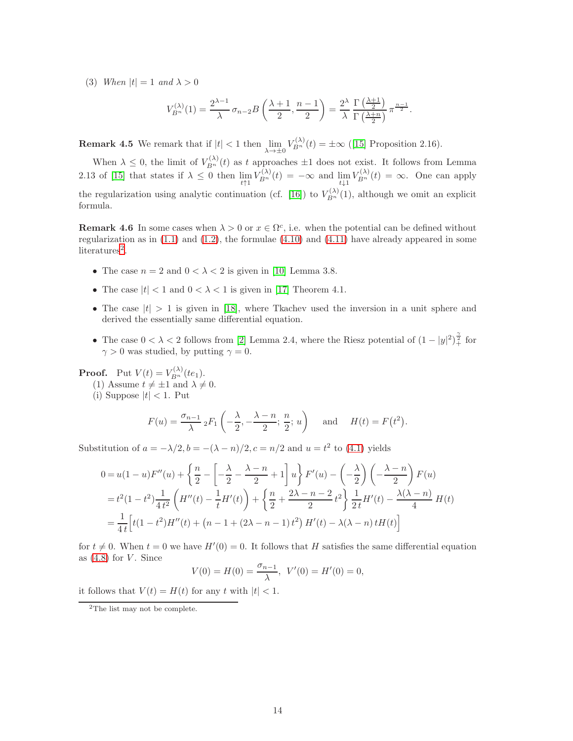(3) When  $|t| = 1$  and  $\lambda > 0$ 

$$
V_{B^n}^{(\lambda)}(1) = \frac{2^{\lambda - 1}}{\lambda} \sigma_{n-2} B\left(\frac{\lambda + 1}{2}, \frac{n - 1}{2}\right) = \frac{2^{\lambda}}{\lambda} \frac{\Gamma\left(\frac{\lambda + 1}{2}\right)}{\Gamma\left(\frac{\lambda + n}{2}\right)} \pi^{\frac{n - 1}{2}}.
$$

**Remark 4.5** We remark that if  $|t| < 1$  then  $\lim_{\lambda \to \pm 0} V_{B_n}^{(\lambda)}(t) = \pm \infty$  ([\[15\]](#page-18-0) Proposition 2.16).

When  $\lambda \leq 0$ , the limit of  $V_{B_n}^{(\lambda)}(t)$  as t approaches  $\pm 1$  does not exist. It follows from Lemma 2.13 of [\[15\]](#page-18-0) that states if  $\lambda \leq 0$  then  $\lim_{t \uparrow 1} V_{B_n}^{(\lambda)}(t) = -\infty$  and  $\lim_{t \downarrow 1} V_{B_n}^{(\lambda)}(t) = \infty$ . One can apply the regularization using analytic continuation (cf. [\[16\]](#page-18-10)) to  $V_{B_n}^{(\lambda)}(1)$ , although we omit an explicit formula.

<span id="page-13-0"></span>**Remark 4.6** In some cases when  $\lambda > 0$  or  $x \in \Omega^c$ , i.e. when the potential can be defined without regularization as in  $(1.1)$  and  $(1.2)$ , the formulae  $(4.10)$  and  $(4.11)$  have already appeared in some literatures<sup>[2](#page-13-1)</sup>.

- The case  $n = 2$  and  $0 < \lambda < 2$  is given in [\[10\]](#page-18-7) Lemma 3.8.
- The case  $|t| < 1$  and  $0 < \lambda < 1$  is given in [\[17\]](#page-18-8) Theorem 4.1.
- The case  $|t| > 1$  is given in [\[18\]](#page-18-9), where Tkachev used the inversion in a unit sphere and derived the essentially same differential equation.
- The case  $0 < \lambda < 2$  follows from [\[2\]](#page-17-5) Lemma 2.4, where the Riesz potential of  $(1 |y|^2)^{\frac{\gamma}{2}}$  for  $\gamma > 0$  was studied, by putting  $\gamma = 0$ .

**Proof.** Put  $V(t) = V_{B_n}^{(\lambda)}(te_1)$ .

(1) Assume  $t \neq \pm 1$  and  $\lambda \neq 0$ .

(i) Suppose  $|t| < 1$ . Put

$$
F(u) = \frac{\sigma_{n-1}}{\lambda} {}_2F_1\left(-\frac{\lambda}{2}, -\frac{\lambda-n}{2}; \frac{n}{2}; u\right) \quad \text{and} \quad H(t) = F(t^2).
$$

Substitution of  $a = -\lambda/2$ ,  $b = -(\lambda - n)/2$ ,  $c = n/2$  and  $u = t^2$  to [\(4.1\)](#page-9-2) yields

$$
0 = u(1-u)F''(u) + \left\{\frac{n}{2} - \left[-\frac{\lambda}{2} - \frac{\lambda - n}{2} + 1\right]u\right\}F'(u) - \left(-\frac{\lambda}{2}\right)\left(-\frac{\lambda - n}{2}\right)F(u)
$$
  
=  $t^2(1-t^2)\frac{1}{4t^2}\left(H''(t) - \frac{1}{t}H'(t)\right) + \left\{\frac{n}{2} + \frac{2\lambda - n - 2}{2}t^2\right\}\frac{1}{2t}H'(t) - \frac{\lambda(\lambda - n)}{4}H(t)$   
=  $\frac{1}{4t}\left[t(1-t^2)H''(t) + (n - 1 + (2\lambda - n - 1)t^2)H'(t) - \lambda(\lambda - n)tH(t)\right]$ 

for  $t \neq 0$ . When  $t = 0$  we have  $H'(0) = 0$ . It follows that H satisfies the same differential equation as  $(4.8)$  for V. Since

$$
V(0) = H(0) = \frac{\sigma_{n-1}}{\lambda}, \ V'(0) = H'(0) = 0,
$$

it follows that  $V(t) = H(t)$  for any t with  $|t| < 1$ .

<span id="page-13-1"></span><sup>2</sup>The list may not be complete.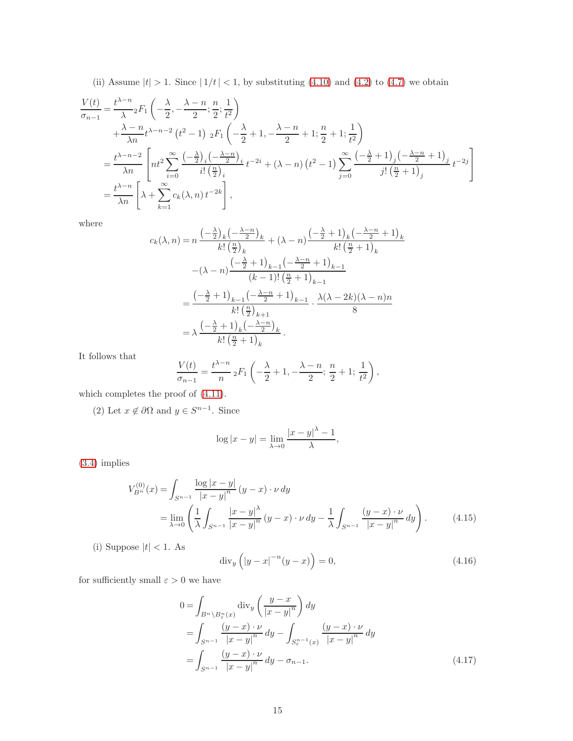(ii) Assume  $|t| > 1$ . Since  $|1/t| < 1$ , by substituting [\(4.10\)](#page-12-2) and [\(4.2\)](#page-10-3) to [\(4.7\)](#page-10-2) we obtain

$$
\frac{V(t)}{\sigma_{n-1}} = \frac{t^{\lambda - n}}{\lambda} {}_2F_1\left(-\frac{\lambda}{2}, -\frac{\lambda - n}{2}; \frac{n}{2}; \frac{1}{t^2}\right)
$$
  
 
$$
+ \frac{\lambda - n}{\lambda n} t^{\lambda - n - 2} (t^2 - 1) {}_2F_1\left(-\frac{\lambda}{2} + 1, -\frac{\lambda - n}{2} + 1; \frac{n}{2} + 1; \frac{1}{t^2}\right)
$$
  
 
$$
= \frac{t^{\lambda - n - 2}}{\lambda n} \left[ nt^2 \sum_{i=0}^{\infty} \frac{(-\frac{\lambda}{2})_i (-\frac{\lambda - n}{2})_i}{i! \left(\frac{n}{2}\right)_i} t^{-2i} + (\lambda - n) (t^2 - 1) \sum_{j=0}^{\infty} \frac{(-\frac{\lambda}{2} + 1)_j (-\frac{\lambda - n}{2} + 1)_j}{j! \left(\frac{n}{2} + 1\right)_j} t^{-2j} \right]
$$
  
 
$$
= \frac{t^{\lambda - n}}{\lambda n} \left[ \lambda + \sum_{k=1}^{\infty} c_k(\lambda, n) t^{-2k} \right],
$$

where

$$
c_k(\lambda, n) = n \frac{\left(-\frac{\lambda}{2}\right)_k \left(-\frac{\lambda - n}{2}\right)_k}{k! \left(\frac{n}{2}\right)_k} + (\lambda - n) \frac{\left(-\frac{\lambda}{2} + 1\right)_k \left(-\frac{\lambda - n}{2} + 1\right)_k}{k! \left(\frac{n}{2} + 1\right)_k} - (\lambda - n) \frac{\left(-\frac{\lambda}{2} + 1\right)_{k-1} \left(-\frac{\lambda - n}{2} + 1\right)_{k-1}}{(k-1)! \left(\frac{n}{2} + 1\right)_{k-1}} = \frac{\left(-\frac{\lambda}{2} + 1\right)_{k-1} \left(-\frac{\lambda - n}{2} + 1\right)_{k-1}}{k! \left(\frac{n}{2}\right)_{k+1}} \cdot \frac{\lambda(\lambda - 2k)(\lambda - n)n}{8} = \lambda \frac{\left(-\frac{\lambda}{2} + 1\right)_k \left(-\frac{\lambda - n}{2}\right)_k}{k! \left(\frac{n}{2} + 1\right)_k}.
$$

It follows that

$$
\frac{V(t)}{\sigma_{n-1}} = \frac{t^{\lambda - n}}{n} {}_2F_1\left(-\frac{\lambda}{2} + 1, -\frac{\lambda - n}{2}; \frac{n}{2} + 1; \frac{1}{t^2}\right),
$$

which completes the proof of [\(4.11\)](#page-12-2).

(2) Let  $x \notin \partial \Omega$  and  $y \in S^{n-1}$ . Since

$$
\log|x - y| = \lim_{\lambda \to 0} \frac{|x - y|^{\lambda} - 1}{\lambda},
$$

[\(3.4\)](#page-4-3) implies

<span id="page-14-0"></span>
$$
V_{B^n}^{(0)}(x) = \int_{S^{n-1}} \frac{\log |x - y|}{|x - y|^n} (y - x) \cdot \nu \, dy
$$
  
= 
$$
\lim_{\lambda \to 0} \left( \frac{1}{\lambda} \int_{S^{n-1}} \frac{|x - y|^{\lambda}}{|x - y|^n} (y - x) \cdot \nu \, dy - \frac{1}{\lambda} \int_{S^{n-1}} \frac{(y - x) \cdot \nu}{|x - y|^n} dy \right).
$$
 (4.15)

(i) Suppose  $|t| < 1$  .As

<span id="page-14-2"></span>
$$
\operatorname{div}_y \left( |y - x|^{-n} (y - x) \right) = 0,\tag{4.16}
$$

for sufficiently small  $\varepsilon>0$  we have

<span id="page-14-1"></span>
$$
0 = \int_{B^n \setminus B^n_{\varepsilon}(x)} \operatorname{div}_y \left( \frac{y - x}{|x - y|^n} \right) dy
$$
  
= 
$$
\int_{S^{n-1}} \frac{(y - x) \cdot \nu}{|x - y|^n} dy - \int_{S^{n-1}_{\varepsilon}(x)} \frac{(y - x) \cdot \nu}{|x - y|^n} dy
$$
  
= 
$$
\int_{S^{n-1}} \frac{(y - x) \cdot \nu}{|x - y|^n} dy - \sigma_{n-1}.
$$
 (4.17)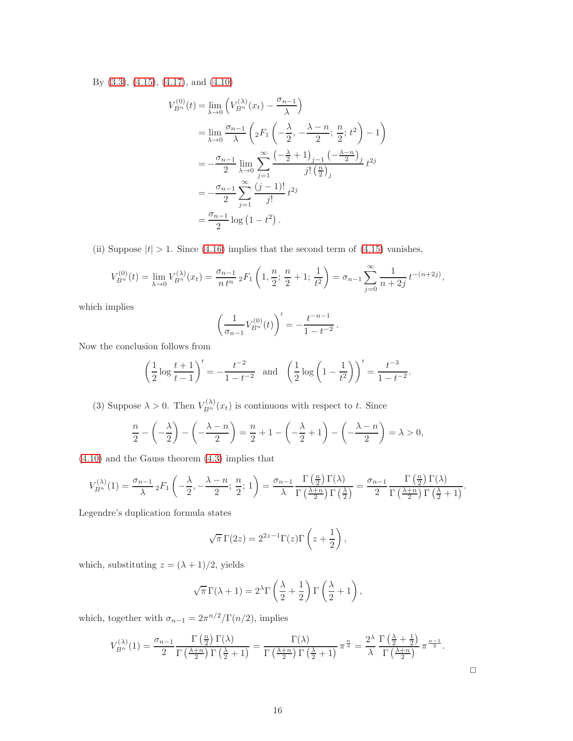By [\(3.3\)](#page-4-3), [\(4.15\)](#page-14-0), [\(4.17\)](#page-14-1), and [\(4.10\)](#page-12-2)

$$
V_{B^n}^{(0)}(t) = \lim_{\lambda \to 0} \left( V_{B^n}^{(\lambda)}(x_t) - \frac{\sigma_{n-1}}{\lambda} \right)
$$
  
= 
$$
\lim_{\lambda \to 0} \frac{\sigma_{n-1}}{\lambda} \left( {}_2F_1 \left( -\frac{\lambda}{2}, -\frac{\lambda - n}{2}; \frac{n}{2}; t^2 \right) - 1 \right)
$$
  
= 
$$
-\frac{\sigma_{n-1}}{2} \lim_{\lambda \to 0} \sum_{j=1}^{\infty} \frac{\left( -\frac{\lambda}{2} + 1 \right)_{j-1} \left( -\frac{\lambda - n}{2} \right)_{j}}{j! \left( \frac{n}{2} \right)_{j}}
$$
  
= 
$$
-\frac{\sigma_{n-1}}{2} \sum_{j=1}^{\infty} \frac{(j-1)!}{j!} t^{2j}
$$
  
= 
$$
\frac{\sigma_{n-1}}{2} \log \left( 1 - t^2 \right).
$$

(ii) Suppose  $|t| > 1$ . Since [\(4.16\)](#page-14-2) implies that the second term of [\(4.15\)](#page-14-0) vanishes,

$$
V_{B^n}^{(0)}(t) = \lim_{\lambda \to 0} V_{B^n}^{(\lambda)}(x_t) = \frac{\sigma_{n-1}}{n t^n} {}_2F_1\left(1, \frac{n}{2}; \frac{n}{2} + 1; \frac{1}{t^2}\right) = \sigma_{n-1} \sum_{j=0}^{\infty} \frac{1}{n+2j} t^{-(n+2j)},
$$

which implies

$$
\left(\frac{1}{\sigma_{n-1}}V_{B^n}^{(0)}(t)\right)' = -\frac{t^{-n-1}}{1-t^{-2}}.
$$

Now the conclusion follows from

$$
\left(\frac{1}{2}\log\frac{t+1}{t-1}\right)' = -\frac{t^{-2}}{1-t^{-2}} \text{ and } \left(\frac{1}{2}\log\left(1-\frac{1}{t^2}\right)\right)' = \frac{t^{-3}}{1-t^{-2}}.
$$

(3) Suppose  $\lambda > 0$ . Then  $V_{B_n}^{(\lambda)}(x_t)$  is continuous with respect to t. Since

$$
\frac{n}{2} - \left(-\frac{\lambda}{2}\right) - \left(-\frac{\lambda - n}{2}\right) = \frac{n}{2} + 1 - \left(-\frac{\lambda}{2} + 1\right) - \left(-\frac{\lambda - n}{2}\right) = \lambda > 0,
$$

[\(4.10\)](#page-12-2) and the Gauss theorem [\(4.3\)](#page-10-4) implies that

$$
V_{B^n}^{(\lambda)}(1) = \frac{\sigma_{n-1}}{\lambda} {}_2F_1\left(-\frac{\lambda}{2}, -\frac{\lambda-n}{2}; \frac{n}{2}; 1\right) = \frac{\sigma_{n-1}}{\lambda} \frac{\Gamma\left(\frac{n}{2}\right) \Gamma(\lambda)}{\Gamma\left(\frac{\lambda+n}{2}\right) \Gamma\left(\frac{\lambda}{2}\right)} = \frac{\sigma_{n-1}}{2} \frac{\Gamma\left(\frac{n}{2}\right) \Gamma(\lambda)}{\Gamma\left(\frac{\lambda+n}{2}\right) \Gamma\left(\frac{\lambda}{2}+1\right)}.
$$

Legendre's duplication formula states

$$
\sqrt{\pi} \Gamma(2z) = 2^{2z-1} \Gamma(z) \Gamma\left(z + \frac{1}{2}\right),\,
$$

which, substituting  $z = (\lambda + 1)/2$ , yields

$$
\sqrt{\pi} \Gamma(\lambda + 1) = 2^{\lambda} \Gamma\left(\frac{\lambda}{2} + \frac{1}{2}\right) \Gamma\left(\frac{\lambda}{2} + 1\right),\,
$$

which, together with  $\sigma_{n-1} = 2\pi^{n/2} / \Gamma(n/2)$ , implies

$$
V_{B^n}^{(\lambda)}(1) = \frac{\sigma_{n-1}}{2} \frac{\Gamma\left(\frac{n}{2}\right) \Gamma(\lambda)}{\Gamma\left(\frac{\lambda+n}{2}\right) \Gamma\left(\frac{\lambda}{2}+1\right)} = \frac{\Gamma(\lambda)}{\Gamma\left(\frac{\lambda+n}{2}\right) \Gamma\left(\frac{\lambda}{2}+1\right)} \pi^{\frac{n}{2}} = \frac{2^{\lambda}}{\lambda} \frac{\Gamma\left(\frac{\lambda}{2}+\frac{1}{2}\right)}{\Gamma\left(\frac{\lambda+n}{2}\right)} \pi^{\frac{n-1}{2}}.
$$

 $\Box$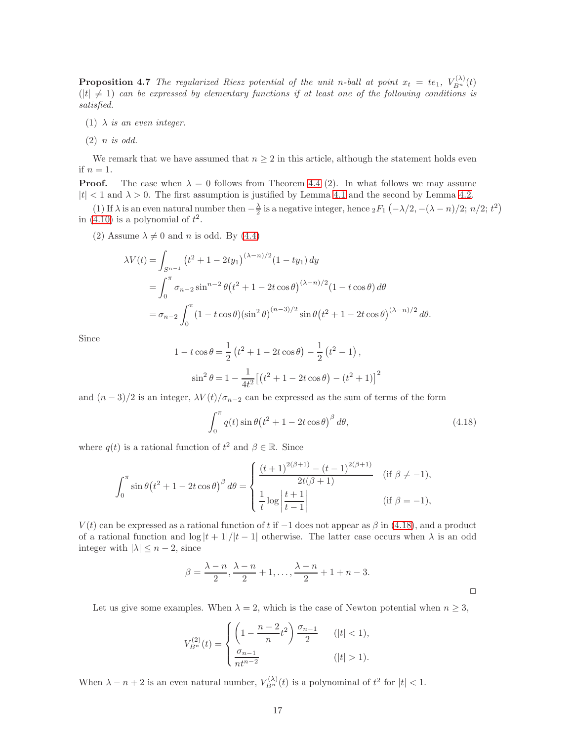**Proposition 4.7** The regularized Riesz potential of the unit n-ball at point  $x_t = te_1$ ,  $V_{B^n}^{(\lambda)}(t)$  $(|t| \neq 1)$  can be expressed by elementary functions if at least one of the following conditions is satisfied.

(1)  $\lambda$  is an even integer.

 $(2)$  *n is odd.* 

We remark that we have assumed that  $n \geq 2$  in this article, although the statement holds even if  $n = 1$ .

**Proof.** The case when  $\lambda = 0$  follows from Theorem [4.4](#page-12-3) (2). In what follows we may assume  $|t| < 1$  and  $\lambda > 0$ . The first assumption is justified by Lemma [4.1](#page-10-5) and the second by Lemma [4.2.](#page-11-1)

(1) If  $\lambda$  is an even natural number then  $-\frac{\lambda}{2}$  is a negative integer, hence  ${}_2F_1(-\lambda/2, -(\lambda-n)/2; n/2; t^2)$ in [\(4.10\)](#page-12-2) is a polynomial of  $t^2$ .

(2) Assume  $\lambda \neq 0$  and n is odd. By [\(4.4\)](#page-10-0)

$$
\lambda V(t) = \int_{S^{n-1}} (t^2 + 1 - 2ty_1)^{(\lambda - n)/2} (1 - ty_1) dy
$$
  
= 
$$
\int_0^{\pi} \sigma_{n-2} \sin^{n-2} \theta (t^2 + 1 - 2t \cos \theta)^{(\lambda - n)/2} (1 - t \cos \theta) d\theta
$$
  
= 
$$
\sigma_{n-2} \int_0^{\pi} (1 - t \cos \theta) (\sin^2 \theta)^{(n-3)/2} \sin \theta (t^2 + 1 - 2t \cos \theta)^{(\lambda - n)/2} d\theta.
$$

Since

$$
1 - t \cos \theta = \frac{1}{2} \left( t^2 + 1 - 2t \cos \theta \right) - \frac{1}{2} \left( t^2 - 1 \right),
$$
  

$$
\sin^2 \theta = 1 - \frac{1}{4t^2} \left[ \left( t^2 + 1 - 2t \cos \theta \right) - \left( t^2 + 1 \right) \right]^2
$$

and  $(n-3)/2$  is an integer,  $\lambda V(t)/\sigma_{n-2}$  can be expressed as the sum of terms of the form

<span id="page-16-0"></span>
$$
\int_0^{\pi} q(t) \sin \theta \left(t^2 + 1 - 2t \cos \theta\right)^{\beta} d\theta, \tag{4.18}
$$

where  $q(t)$  is a rational function of  $t^2$  and  $\beta \in \mathbb{R}$ . Since

$$
\int_0^{\pi} \sin \theta (t^2 + 1 - 2t \cos \theta)^{\beta} d\theta = \begin{cases} \frac{(t+1)^{2(\beta+1)} - (t-1)^{2(\beta+1)}}{2t(\beta+1)} & (\text{if } \beta \neq -1), \\ \frac{1}{t} \log \left| \frac{t+1}{t-1} \right| & (\text{if } \beta = -1), \end{cases}
$$

 $V(t)$  can be expressed as a rational function of t if  $-1$  does not appear as  $\beta$  in [\(4.18\)](#page-16-0), and a product of a rational function and  $\log|t+1|/|t-1|$  otherwise. The latter case occurs when  $\lambda$  is an odd integer with  $|\lambda| \leq n-2$ , since

$$
\beta = \frac{\lambda - n}{2}, \frac{\lambda - n}{2} + 1, \dots, \frac{\lambda - n}{2} + 1 + n - 3.
$$

Let us give some examples. When  $\lambda = 2$ , which is the case of Newton potential when  $n \geq 3$ ,

$$
V_{B^n}^{(2)}(t) = \begin{cases} \left(1 - \frac{n-2}{n}t^2\right) \frac{\sigma_{n-1}}{2} & (|t| < 1), \\ \frac{\sigma_{n-1}}{n t^{n-2}} & (|t| > 1). \end{cases}
$$

When  $\lambda - n + 2$  is an even natural number,  $V_{B_n}^{(\lambda)}(t)$  is a polynominal of  $t^2$  for  $|t| < 1$ .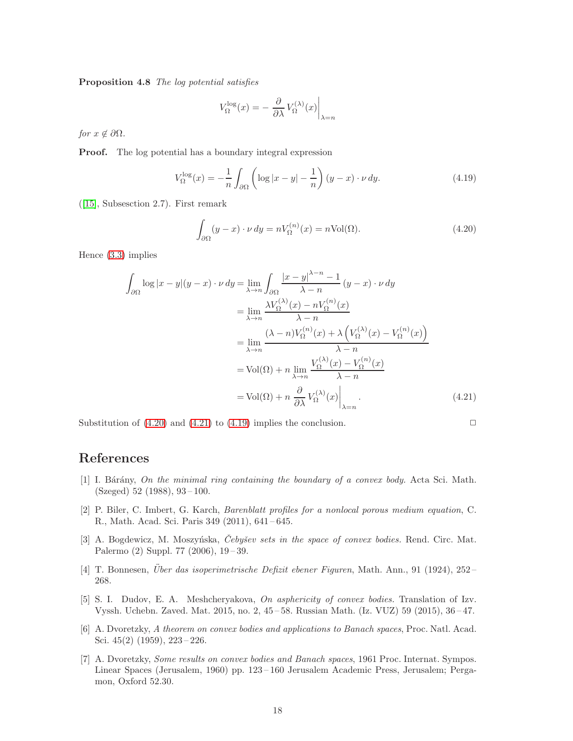Proposition 4.8 The log potential satisfies

$$
V_{\Omega}^{\log}(x) = -\left. \frac{\partial}{\partial \lambda} V_{\Omega}^{(\lambda)}(x) \right|_{\lambda = n}
$$

for  $x \notin \partial \Omega$ .

Proof. The log potential has a boundary integral expression

<span id="page-17-8"></span>
$$
V_{\Omega}^{\log}(x) = -\frac{1}{n} \int_{\partial\Omega} \left( \log|x - y| - \frac{1}{n} \right) (y - x) \cdot \nu \, dy. \tag{4.19}
$$

([\[15\]](#page-18-0), Subsesction 2.7). First remark

<span id="page-17-6"></span>
$$
\int_{\partial\Omega} (y - x) \cdot \nu \, dy = n V_{\Omega}^{(n)}(x) = n \text{Vol}(\Omega). \tag{4.20}
$$

Hence [\(3.3\)](#page-4-3) implies

<span id="page-17-7"></span>
$$
\int_{\partial\Omega} \log |x - y| (y - x) \cdot \nu \, dy = \lim_{\lambda \to n} \int_{\partial\Omega} \frac{|x - y|^{\lambda - n} - 1}{\lambda - n} (y - x) \cdot \nu \, dy
$$
\n
$$
= \lim_{\lambda \to n} \frac{\lambda V_{\Omega}^{(\lambda)}(x) - n V_{\Omega}^{(n)}(x)}{\lambda - n}
$$
\n
$$
= \lim_{\lambda \to n} \frac{(\lambda - n) V_{\Omega}^{(n)}(x) + \lambda \left( V_{\Omega}^{(\lambda)}(x) - V_{\Omega}^{(n)}(x) \right)}{\lambda - n}
$$
\n
$$
= \text{Vol}(\Omega) + n \lim_{\lambda \to n} \frac{V_{\Omega}^{(\lambda)}(x) - V_{\Omega}^{(n)}(x)}{\lambda - n}
$$
\n
$$
= \text{Vol}(\Omega) + n \frac{\partial}{\partial \lambda} V_{\Omega}^{(\lambda)}(x) \Big|_{\lambda = n} . \tag{4.21}
$$

Substitution of  $(4.20)$  and  $(4.21)$  to  $(4.19)$  implies the conclusion.

## <span id="page-17-3"></span>References

- [1] I. Bárány, On the minimal ring containing the boundary of a convex body. Acta Sci. Math. (Szeged) 52 (1988), 93 – 100.
- <span id="page-17-5"></span>[2] P. Biler, C. Imbert, G. Karch, Barenblatt profiles for a nonlocal porous medium equation, C. R., Math. Acad. Sci. Paris 349 (2011), 641 – 645.
- [3] A. Bogdewicz, M. Moszyńska, *Cebyšev sets in the space of convex bodies*. Rend. Circ. Mat. Palermo (2) Suppl. 77 (2006), 19-39.
- <span id="page-17-4"></span><span id="page-17-2"></span> $[4]$  T. Bonnesen, *Uber das isoperimetrische Defizit ebener Figuren*, Math. Ann., 91 (1924), 252-268.
- [5] S. I. Dudov, E. A. Meshcheryakova, On asphericity of convex bodies. Translation of Izv. Vyssh. Uchebn. Zaved. Mat. 2015, no. 2, 45 – 58. Russian Math. (Iz. VUZ) 59 (2015), 36 – 47.
- <span id="page-17-0"></span>[6] A. Dvoretzky, A theorem on convex bodies and applications to Banach spaces, Proc. Natl. Acad. Sci. 45(2) (1959), 223 – 226.
- <span id="page-17-1"></span>[7] A. Dvoretzky, Some results on convex bodies and Banach spaces, 1961 Proc. Internat. Sympos. Linear Spaces (Jerusalem, 1960) pp. 123 – 160 Jerusalem Academic Press, Jerusalem; Pergamon, Oxford 52.30.